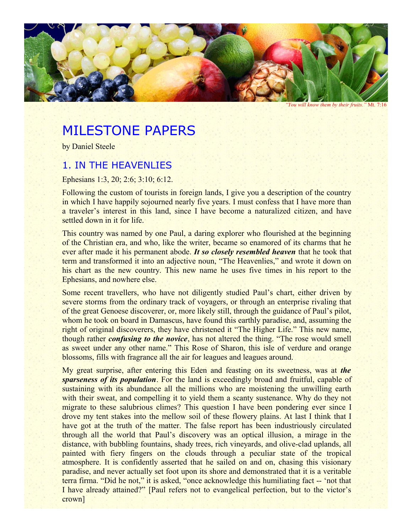

*"You will know them by their fruits."* Mt. 7:16

# MILESTONE PAPERS

by Daniel Steele

### 1. IN THE HEAVENLIES

Ephesians 1:3, 20; 2:6; 3:10; 6:12.

Following the custom of tourists in foreign lands, I give you a description of the country in which I have happily sojourned nearly five years. I must confess that I have more than a traveler's interest in this land, since I have become a naturalized citizen, and have settled down in it for life.

This country was named by one Paul, a daring explorer who flourished at the beginning of the Christian era, and who, like the writer, became so enamored of its charms that he ever after made it his permanent abode. *It so closely resembled heaven* that he took that term and transformed it into an adjective noun, "The Heavenlies," and wrote it down on his chart as the new country. This new name he uses five times in his report to the Ephesians, and nowhere else.

Some recent travellers, who have not diligently studied Paul's chart, either driven by severe storms from the ordinary track of voyagers, or through an enterprise rivaling that of the great Genoese discoverer, or, more likely still, through the guidance of Paul's pilot, whom he took on board in Damascus, have found this earthly paradise, and, assuming the right of original discoverers, they have christened it "The Higher Life." This new name, though rather *confusing to the novice*, has not altered the thing. "The rose would smell as sweet under any other name." This Rose of Sharon, this isle of verdure and orange blossoms, fills with fragrance all the air for leagues and leagues around.

My great surprise, after entering this Eden and feasting on its sweetness, was at *the sparseness of its population*. For the land is exceedingly broad and fruitful, capable of sustaining with its abundance all the millions who are moistening the unwilling earth with their sweat, and compelling it to yield them a scanty sustenance. Why do they not migrate to these salubrious climes? This question I have been pondering ever since I drove my tent stakes into the mellow soil of these flowery plains. At last I think that I have got at the truth of the matter. The false report has been industriously circulated through all the world that Paul's discovery was an optical illusion, a mirage in the distance, with bubbling fountains, shady trees, rich vineyards, and olive-clad uplands, all painted with fiery fingers on the clouds through a peculiar state of the tropical atmosphere. It is confidently asserted that he sailed on and on, chasing this visionary paradise, and never actually set foot upon its shore and demonstrated that it is a veritable terra firma. "Did he not," it is asked, "once acknowledge this humiliating fact -- 'not that I have already attained?" [Paul refers not to evangelical perfection, but to the victor's crown]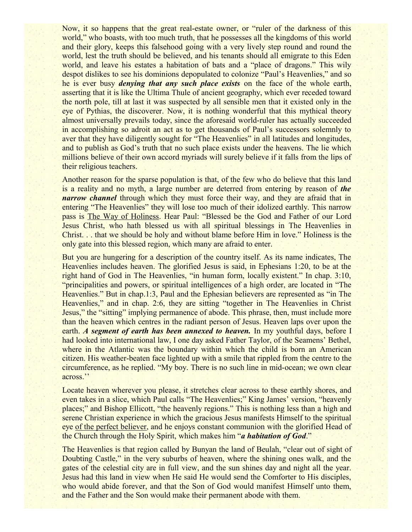Now, it so happens that the great real-estate owner, or "ruler of the darkness of this world," who boasts, with too much truth, that he possesses all the kingdoms of this world and their glory, keeps this falsehood going with a very lively step round and round the world, lest the truth should be believed, and his tenants should all emigrate to this Eden world, and leave his estates a habitation of bats and a "place of dragons." This wily despot dislikes to see his dominions depopulated to colonize "Paul's Heavenlies," and so he is ever busy *denying that any such place exists* on the face of the whole earth, asserting that it is like the Ultima Thule of ancient geography, which ever receded toward the north pole, till at last it was suspected by all sensible men that it existed only in the eye of Pythias, the discoverer. Now, it is nothing wonderful that this mythical theory almost universally prevails today, since the aforesaid world-ruler has actually succeeded in accomplishing so adroit an act as to get thousands of Paul's successors solemnly to aver that they have diligently sought for "The Heavenlies" in all latitudes and longitudes, and to publish as God's truth that no such place exists under the heavens. The lie which millions believe of their own accord myriads will surely believe if it falls from the lips of their religious teachers.

Another reason for the sparse population is that, of the few who do believe that this land is a reality and no myth, a large number are deterred from entering by reason of *the narrow channel* through which they must force their way, and they are afraid that in entering "The Heavenlies" they will lose too much of their idolized earthly. This narrow pass is The Way of Holiness. Hear Paul: "Blessed be the God and Father of our Lord Jesus Christ, who hath blessed us with all spiritual blessings in The Heavenlies in Christ. . . that we should be holy and without blame before Him in love." Holiness is the only gate into this blessed region, which many are afraid to enter.

But you are hungering for a description of the country itself. As its name indicates, The Heavenlies includes heaven. The glorified Jesus is said, in Ephesians 1:20, to be at the right hand of God in The Heavenlies, "in human form, locally existent." In chap. 3:10, "principalities and powers, or spiritual intelligences of a high order, are located in "The Heavenlies." But in chap.1:3, Paul and the Ephesian believers are represented as "in The Heavenlies," and in chap. 2:6, they are sitting "together in The Heavenlies in Christ Jesus," the "sitting" implying permanence of abode. This phrase, then, must include more than the heaven which centres in the radiant person of Jesus. Heaven laps over upon the earth. *A segment of earth has been annexed to heaven.* In my youthful days, before I had looked into international law, I one day asked Father Taylor, of the Seamens' Bethel, where in the Atlantic was the boundary within which the child is born an American citizen. His weather-beaten face lighted up with a smile that rippled from the centre to the circumference, as he replied. "My boy. There is no such line in mid-ocean; we own clear across.''

Locate heaven wherever you please, it stretches clear across to these earthly shores, and even takes in a slice, which Paul calls "The Heavenlies;" King James' version, "heavenly places;" and Bishop Ellicott, "the heavenly regions." This is nothing less than a high and serene Christian experience in which the gracious Jesus manifests Himself to the spiritual eye of the perfect believer, and he enjoys constant communion with the glorified Head of the Church through the Holy Spirit, which makes him "*a habitation of God*."

The Heavenlies is that region called by Bunyan the land of Beulah, "clear out of sight of Doubting Castle," in the very suburbs of heaven, where the shining ones walk, and the gates of the celestial city are in full view, and the sun shines day and night all the year. Jesus had this land in view when He said He would send the Comforter to His disciples, who would abide forever, and that the Son of God would manifest Himself unto them, and the Father and the Son would make their permanent abode with them.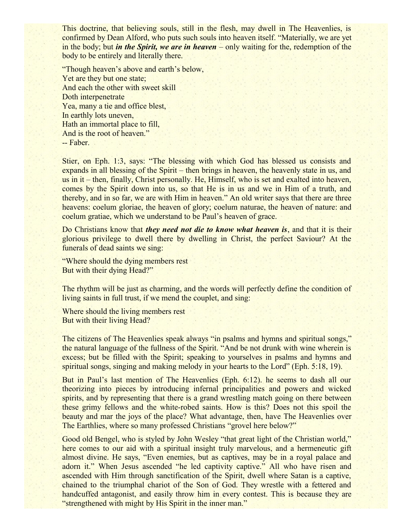This doctrine, that believing souls, still in the flesh, may dwell in The Heavenlies, is confirmed by Dean Alford, who puts such souls into heaven itself. "Materially, we are yet in the body; but *in the Spirit, we are in heaven* – only waiting for the, redemption of the body to be entirely and literally there.

"Though heaven's above and earth's below, Yet are they but one state; And each the other with sweet skill Doth interpenetrate Yea, many a tie and office blest, In earthly lots uneven, Hath an immortal place to fill, And is the root of heaven." -- Faber.

Stier, on Eph. 1:3, says: "The blessing with which God has blessed us consists and expands in all blessing of the Spirit – then brings in heaven, the heavenly state in us, and us in it – then, finally, Christ personally. He, Himself, who is set and exalted into heaven, comes by the Spirit down into us, so that He is in us and we in Him of a truth, and thereby, and in so far, we are with Him in heaven." An old writer says that there are three heavens: coelum gloriae, the heaven of glory; coelum naturae, the heaven of nature: and coelum gratiae, which we understand to be Paul's heaven of grace.

Do Christians know that *they need not die to know what heaven is*, and that it is their glorious privilege to dwell there by dwelling in Christ, the perfect Saviour? At the funerals of dead saints we sing:

"Where should the dying members rest But with their dying Head?"

The rhythm will be just as charming, and the words will perfectly define the condition of living saints in full trust, if we mend the couplet, and sing:

Where should the living members rest But with their living Head?

The citizens of The Heavenlies speak always "in psalms and hymns and spiritual songs," the natural language of the fullness of the Spirit. "And be not drunk with wine wherein is excess; but be filled with the Spirit; speaking to yourselves in psalms and hymns and spiritual songs, singing and making melody in your hearts to the Lord" (Eph. 5:18, 19).

But in Paul's last mention of The Heavenlies (Eph. 6:12). he seems to dash all our theorizing into pieces by introducing infernal principalities and powers and wicked spirits, and by representing that there is a grand wrestling match going on there between these grimy fellows and the white-robed saints. How is this? Does not this spoil the beauty and mar the joys of the place? What advantage, then, have The Heavenlies over The Earthlies, where so many professed Christians "grovel here below?"

Good old Bengel, who is styled by John Wesley "that great light of the Christian world," here comes to our aid with a spiritual insight truly marvelous, and a hermeneutic gift almost divine. He says, "Even enemies, but as captives, may be in a royal palace and adorn it." When Jesus ascended "he led captivity captive." All who have risen and ascended with Him through sanctification of the Spirit, dwell where Satan is a captive, chained to the triumphal chariot of the Son of God. They wrestle with a fettered and handcuffed antagonist, and easily throw him in every contest. This is because they are "strengthened with might by His Spirit in the inner man."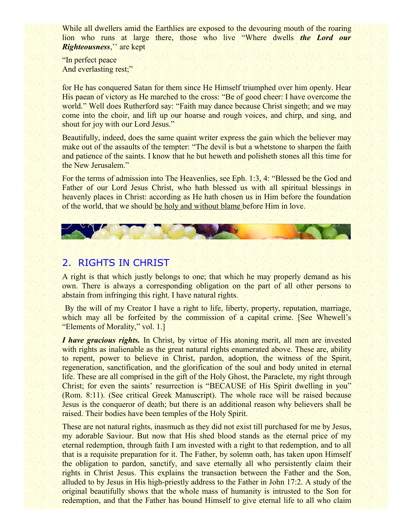While all dwellers amid the Earthlies are exposed to the devouring mouth of the roaring lion who runs at large there, those who live "Where dwells *the Lord our Righteousness*,'' are kept

"In perfect peace And everlasting rest;"

for He has conquered Satan for them since He Himself triumphed over him openly. Hear His paean of victory as He marched to the cross: "Be of good cheer: I have overcome the world." Well does Rutherford say: "Faith may dance because Christ singeth; and we may come into the choir, and lift up our hoarse and rough voices, and chirp, and sing, and shout for joy with our Lord Jesus."

Beautifully, indeed, does the same quaint writer express the gain which the believer may make out of the assaults of the tempter: "The devil is but a whetstone to sharpen the faith and patience of the saints. I know that he but heweth and polisheth stones all this time for the New Jerusalem."

For the terms of admission into The Heavenlies, see Eph. 1:3, 4: "Blessed be the God and Father of our Lord Jesus Christ, who hath blessed us with all spiritual blessings in heavenly places in Christ: according as He hath chosen us in Him before the foundation of the world, that we should be holy and without blame before Him in love.



# 2. RIGHTS IN CHRIST

A right is that which justly belongs to one; that which he may properly demand as his own. There is always a corresponding obligation on the part of all other persons to abstain from infringing this right. I have natural rights.

By the will of my Creator I have a right to life, liberty, property, reputation, marriage, which may all be forfeited by the commission of a capital crime. [See Whewell's "Elements of Morality," vol. 1.]

*I have gracious rights.* In Christ, by virtue of His atoning merit, all men are invested with rights as inalienable as the great natural rights enumerated above. These are, ability to repent, power to believe in Christ, pardon, adoption, the witness of the Spirit, regeneration, sanctification, and the glorification of the soul and body united in eternal life. These are all comprised in the gift of the Holy Ghost, the Paraclete, my right through Christ; for even the saints' resurrection is "BECAUSE of His Spirit dwelling in you" (Rom. 8:11). (See critical Greek Manuscript). The whole race will be raised because Jesus is the conqueror of death; but there is an additional reason why believers shall be raised. Their bodies have been temples of the Holy Spirit.

These are not natural rights, inasmuch as they did not exist till purchased for me by Jesus, my adorable Saviour. But now that His shed blood stands as the eternal price of my eternal redemption, through faith I am invested with a right to that redemption, and to all that is a requisite preparation for it. The Father, by solemn oath, has taken upon Himself the obligation to pardon, sanctify, and save eternally all who persistently claim their rights in Christ Jesus. This explains the transaction between the Father and the Son, alluded to by Jesus in His high-priestly address to the Father in John 17:2. A study of the original beautifully shows that the whole mass of humanity is intrusted to the Son for redemption, and that the Father has bound Himself to give eternal life to all who claim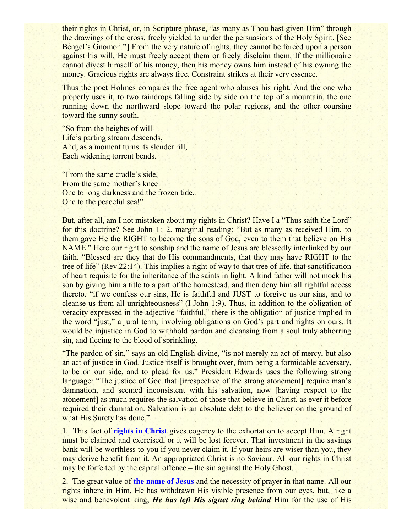their rights in Christ, or, in Scripture phrase, "as many as Thou hast given Him" through the drawings of the cross, freely yielded to under the persuasions of the Holy Spirit. [See Bengel's Gnomon."] From the very nature of rights, they cannot be forced upon a person against his will. He must freely accept them or freely disclaim them. If the millionaire cannot divest himself of his money, then his money owns him instead of his owning the money. Gracious rights are always free. Constraint strikes at their very essence.

Thus the poet Holmes compares the free agent who abuses his right. And the one who properly uses it, to two raindrops falling side by side on the top of a mountain, the one running down the northward slope toward the polar regions, and the other coursing toward the sunny south.

"So from the heights of will Life's parting stream descends, And, as a moment turns its slender rill, Each widening torrent bends.

"From the same cradle's side, From the same mother's knee One to long darkness and the frozen tide, One to the peaceful sea!"

But, after all, am I not mistaken about my rights in Christ? Have I a "Thus saith the Lord" for this doctrine? See John 1:12. marginal reading: "But as many as received Him, to them gave He the RIGHT to become the sons of God, even to them that believe on His NAME." Here our right to sonship and the name of Jesus are blessedly interlinked by our faith. "Blessed are they that do His commandments, that they may have RIGHT to the tree of life" (Rev.22:14). This implies a right of way to that tree of life, that sanctification of heart requisite for the inheritance of the saints in light. A kind father will not mock his son by giving him a title to a part of the homestead, and then deny him all rightful access thereto. "if we confess our sins, He is faithful and JUST to forgive us our sins, and to cleanse us from all unrighteousness" (I John 1:9). Thus, in addition to the obligation of veracity expressed in the adjective "faithful," there is the obligation of justice implied in the word "just," a jural term, involving obligations on God's part and rights on ours. It would be injustice in God to withhold pardon and cleansing from a soul truly abhorring sin, and fleeing to the blood of sprinkling.

"The pardon of sin," says an old English divine, "is not merely an act of mercy, but also an act of justice in God. Justice itself is brought over, from being a formidable adversary, to be on our side, and to plead for us." President Edwards uses the following strong language: "The justice of God that *s* irrespective of the strong atonement require man's damnation, and seemed inconsistent with his salvation, now [having respect to the atonement] as much requires the salvation of those that believe in Christ, as ever it before required their damnation. Salvation is an absolute debt to the believer on the ground of what His Surety has done."

1. This fact of **rights in Christ** gives cogency to the exhortation to accept Him. A right must be claimed and exercised, or it will be lost forever. That investment in the savings bank will be worthless to you if you never claim it. If your heirs are wiser than you, they may derive benefit from it. An appropriated Christ is no Saviour. All our rights in Christ may be forfeited by the capital offence – the sin against the Holy Ghost.

2. The great value of **the name of Jesus** and the necessity of prayer in that name. All our rights inhere in Him. He has withdrawn His visible presence from our eyes, but, like a wise and benevolent king, *He has left His signet ring behind* Him for the use of His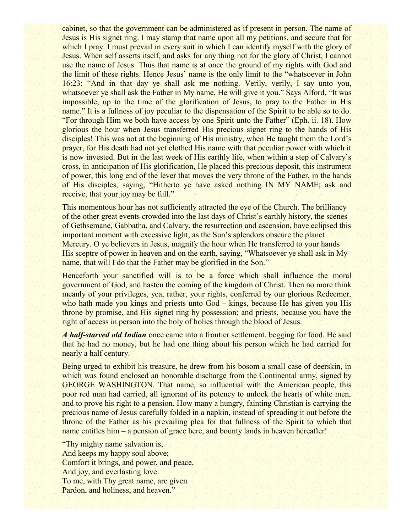cabinet, so that the government can be administered as if present in person. The name of Jesus is His signet ring. I may stamp that name upon all my petitions, and secure that for which I pray. I must prevail in every suit in which I can identify myself with the glory of Jesus. When self asserts itself, and asks for any thing not for the glory of Christ, I cannot use the name of Jesus. Thus that name is at once the ground of my rights with God and the limit of these rights. Hence Jesus' name is the only limit to the "whatsoever in John 16:23: "And in that day ye shall ask me nothing. Verily, verily, I say unto you, whatsoever ye shall ask the Father in My name, He will give it you." Says Alford, "It was impossible, up to the time of the glorification of Jesus, to pray to the Father in His name." It is a fullness of joy peculiar to the dispensation of the Spirit to be able so to do. "For through Him we both have access by one Spirit unto the Father" (Eph. ii. 18). How glorious the hour when Jesus transferred His precious signet ring to the hands of His disciples! This was not at the beginning of His ministry, when He taught them the Lord's prayer, for His death had not yet clothed His name with that peculiar power with which it is now invested. But in the last week of His earthly life, when within a step of Calvary's cross, in anticipation of His glorification, He placed this precious deposit, this instrument of power, this long end of the lever that moves the very throne of the Father, in the hands of His disciples, saying, "Hitherto ye have asked nothing IN MY NAME; ask and receive, that your joy may be full."

This momentous hour has not sufficiently attracted the eye of the Church. The brilliancy of the other great events crowded into the last days of Christ's earthly history, the scenes of Gethsemane, Gabbatha, and Calvary, the resurrection and ascension, have eclipsed this important moment with excessive light, as the Sun's splendors obscure the planet Mercury. O ye believers in Jesus, magnify the hour when He transferred to your hands His sceptre of power in heaven and on the earth, saying, "Whatsoever ye shall ask in My name, that will I do that the Father may be glorified in the Son."

Henceforth your sanctified will is to be a force which shall influence the moral government of God, and hasten the coming of the kingdom of Christ. Then no more think meanly of your privileges, yea, rather, your rights, conferred by our glorious Redeemer, who hath made you kings and priests unto God – kings, because He has given you His throne by promise, and His signet ring by possession; and priests, because you have the right of access in person into the holy of holies through the blood of Jesus.

*A half-starved old Indian* once came into a frontier settlement, begging for food. He said that he had no money, but he had one thing about his person which he had carried for nearly a half century.

Being urged to exhibit his treasure, he drew from his bosom a small case of deerskin, in which was found enclosed an honorable discharge from the Continental army, signed by GEORGE WASHINGTON. That name, so influential with the American people, this poor red man had carried, all ignorant of its potency to unlock the hearts of white men, and to prove his right to a pension. How many a hungry, fainting Christian is carrying the precious name of Jesus carefully folded in a napkin, instead of spreading it out before the throne of the Father as his prevailing plea for that fullness of the Spirit to which that name entitles him – a pension of grace here, and bounty lands in heaven hereafter!

"Thy mighty name salvation is, And keeps my happy soul above; Comfort it brings, and power, and peace, And joy, and everlasting love: To me, with Thy great name, are given Pardon, and holiness, and heaven."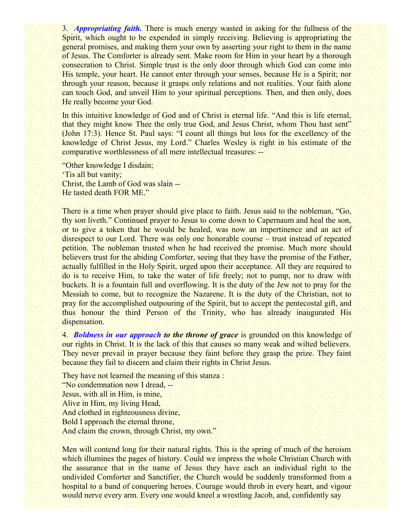3. *Appropriating faith.* There is much energy wasted in asking for the fullness of the Spirit, which ought to be expended in simply receiving. Believing is appropriating the general promises, and making them your own by asserting your right to them in the name of Jesus. The Comforter is already sent. Make room for Him in your heart by a thorough consecration to Christ. Simple trust is the only door through which God can come into His temple, your heart. He cannot enter through your senses, because He is a Spirit; nor through your reason, because it grasps only relations and not realities. Your faith alone can touch God, and unveil Him to your spiritual perceptions. Then, and then only, does He really become your God.

In this intuitive knowledge of God and of Christ is eternal life. "And this is life eternal, that they might know Thee the only true God, and Jesus Christ, whom Thou hast sent" (John 17:3). Hence St. Paul says: "I count all things but loss for the excellency of the knowledge of Christ Jesus, my Lord." Charles Wesley is right in his estimate of the comparative worthlessness of all mere intellectual treasures: --

"Other knowledge I disdain; 'Tis all but vanity; Christ, the Lamb of God was slain -- He tasted death FOR ME."

There is a time when prayer should give place to faith. Jesus said to the nobleman, "Go, thy son liveth." Continued prayer to Jesus to come down to Capernaum and heal the son, or to give a token that he would be healed, was now an impertinence and an act of disrespect to our Lord. There was only one honorable course – trust instead of repeated petition. The nobleman trusted when he had received the promise. Much more should believers trust for the abiding Comforter, seeing that they have the promise of the Father, actually fulfilled in the Holy Spirit, urged upon their acceptance. All they are required to do is to receive Him, to take the water of life freely; not to pump, nor to draw with buckets. It is a fountain full and overflowing. It is the duty of the Jew not to pray for the Messiah to come, but to recognize the Nazarene. It is the duty of the Christian, not to pray for the accomplished outpouring of the Spirit, but to accept the pentecostal gift, and thus honour the third Person of the Trinity, who has already inaugurated His dispensation.

4. *Boldness in our approach to the throne of grace* is grounded on this knowledge of our rights in Christ. It is the lack of this that causes so many weak and wilted believers. They never prevail in prayer because they faint before they grasp the prize. They faint because they fail to discern and claim their rights in Christ Jesus.

They have not learned the meaning of this stanza : "No condemnation now I dread, -- Jesus, with all in Him, is mine, Alive in Him, my living Head, And clothed in righteousness divine, Bold I approach the eternal throne, And claim the crown, through Christ, my own."

Men will contend long for their natural rights. This is the spring of much of the heroism which illumines the pages of history. Could we impress the whole Christian Church with the assurance that in the name of Jesus they have each an individual right to the undivided Comforter and Sanctifier, the Church would be suddenly transformed from a hospital to a band of conquering heroes. Courage would throb in every heart, and vigour would nerve every arm. Every one would kneel a wrestling Jacob, and, confidently say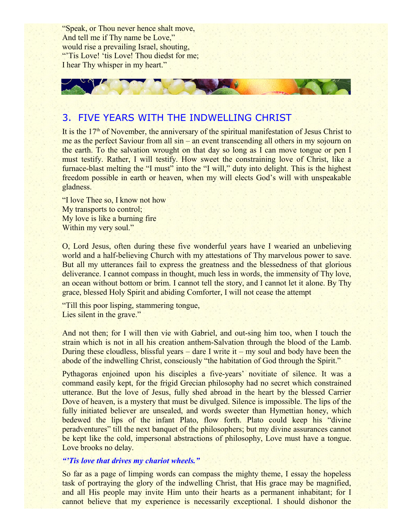"Speak, or Thou never hence shalt move, And tell me if Thy name be Love," would rise a prevailing Israel, shouting, "Tis Love! 'tis Love! Thou diedst for me; I hear Thy whisper in my heart."



### 3. FIVE YEARS WITH THE INDWELLING CHRIST

It is the  $17<sup>th</sup>$  of November, the anniversary of the spiritual manifestation of Jesus Christ to me as the perfect Saviour from all sin – an event transcending all others in my sojourn on the earth. To the salvation wrought on that day so long as I can move tongue or pen I must testify. Rather, I will testify. How sweet the constraining love of Christ, like a furnace-blast melting the "I must" into the "I will," duty into delight. This is the highest freedom possible in earth or heaven, when my will elects God's will with unspeakable gladness.

"I love Thee so, I know not how My transports to control; My love is like a burning fire Within my very soul."

O, Lord Jesus, often during these five wonderful years have I wearied an unbelieving world and a half-believing Church with my attestations of Thy marvelous power to save. But all my utterances fail to express the greatness and the blessedness of that glorious deliverance. I cannot compass in thought, much less in words, the immensity of Thy love, an ocean without bottom or brim. I cannot tell the story, and I cannot let it alone. By Thy grace, blessed Holy Spirit and abiding Comforter, I will not cease the attempt

"Till this poor lisping, stammering tongue, Lies silent in the grave."

And not then; for I will then vie with Gabriel, and out-sing him too, when I touch the strain which is not in all his creation anthem-Salvation through the blood of the Lamb. During these cloudless, blissful years – dare I write it – my soul and body have been the abode of the indwelling Christ, consciously "the habitation of God through the Spirit."

Pythagoras enjoined upon his disciples a five-years' novitiate of silence. It was a command easily kept, for the frigid Grecian philosophy had no secret which constrained utterance. But the love of Jesus, fully shed abroad in the heart by the blessed Carrier Dove of heaven, is a mystery that must be divulged. Silence is impossible. The lips of the fully initiated believer are unsealed, and words sweeter than Hymettian honey, which bedewed the lips of the infant Plato, flow forth. Plato could keep his "divine peradventures" till the next banquet of the philosophers; but my divine assurances cannot be kept like the cold, impersonal abstractions of philosophy, Love must have a tongue. Love brooks no delay.

#### *"'Tis love that drives my chariot wheels."*

So far as a page of limping words can compass the mighty theme, I essay the hopeless task of portraying the glory of the indwelling Christ, that His grace may be magnified, and all His people may invite Him unto their hearts as a permanent inhabitant; for I cannot believe that my experience is necessarily exceptional. I should dishonor the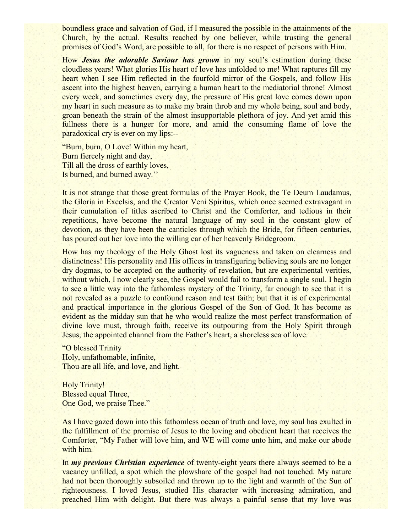boundless grace and salvation of God, if I measured the possible in the attainments of the Church, by the actual. Results reached by one believer, while trusting the general promises of God's Word, are possible to all, for there is no respect of persons with Him.

How *Jesus the adorable Saviour has grown* in my soul's estimation during these cloudless years! What glories His heart of love has unfolded to me! What raptures fill my heart when I see Him reflected in the fourfold mirror of the Gospels, and follow His ascent into the highest heaven, carrying a human heart to the mediatorial throne! Almost every week, and sometimes every day, the pressure of His great love comes down upon my heart in such measure as to make my brain throb and my whole being, soul and body, groan beneath the strain of the almost insupportable plethora of joy. And yet amid this fullness there is a hunger for more, and amid the consuming flame of love the paradoxical cry is ever on my lips:--

"Burn, burn, O Love! Within my heart, Burn fiercely night and day, Till all the dross of earthly loves, Is burned, and burned away.''

It is not strange that those great formulas of the Prayer Book, the Te Deum Laudamus, the Gloria in Excelsis, and the Creator Veni Spiritus, which once seemed extravagant in their cumulation of titles ascribed to Christ and the Comforter, and tedious in their repetitions, have become the natural language of my soul in the constant glow of devotion, as they have been the canticles through which the Bride, for fifteen centuries, has poured out her love into the willing ear of her heavenly Bridegroom.

How has my theology of the Holy Ghost lost its vagueness and taken on clearness and distinctness! His personality and His offices in transfiguring believing souls are no longer dry dogmas, to be accepted on the authority of revelation, but are experimental verities, without which, I now clearly see, the Gospel would fail to transform a single soul. I begin to see a little way into the fathomless mystery of the Trinity, far enough to see that it is not revealed as a puzzle to confound reason and test faith; but that it is of experimental and practical importance in the glorious Gospel of the Son of God. It has become as evident as the midday sun that he who would realize the most perfect transformation of divine love must, through faith, receive its outpouring from the Holy Spirit through Jesus, the appointed channel from the Father's heart, a shoreless sea of love.

"O blessed Trinity Holy, unfathomable, infinite, Thou are all life, and love, and light.

Holy Trinity! Blessed equal Three, One God, we praise Thee."

As I have gazed down into this fathomless ocean of truth and love, my soul has exulted in the fulfillment of the promise of Jesus to the loving and obedient heart that receives the Comforter, "My Father will love him, and WE will come unto him, and make our abode with him.

In *my previous Christian experience* of twenty-eight years there always seemed to be a vacancy unfilled, a spot which the plowshare of the gospel had not touched. My nature had not been thoroughly subsoiled and thrown up to the light and warmth of the Sun of righteousness. I loved Jesus, studied His character with increasing admiration, and preached Him with delight. But there was always a painful sense that my love was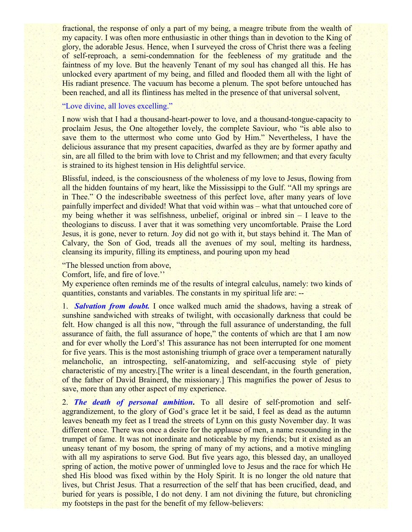fractional, the response of only a part of my being, a meagre tribute from the wealth of my capacity. I was often more enthusiastic in other things than in devotion to the King of glory, the adorable Jesus. Hence, when I surveyed the cross of Christ there was a feeling of self-reproach, a semi-condemnation for the feebleness of my gratitude and the faintness of my love. But the heavenly Tenant of my soul has changed all this. He has unlocked every apartment of my being, and filled and flooded them all with the light of His radiant presence. The vacuum has become a plenum. The spot before untouched has been reached, and all its flintiness has melted in the presence of that universal solvent,

"Love divine, all loves excelling."

I now wish that I had a thousand-heart-power to love, and a thousand-tongue-capacity to proclaim Jesus, the One altogether lovely, the complete Saviour, who "is able also to save them to the uttermost who come unto God by Him." Nevertheless, I have the delicious assurance that my present capacities, dwarfed as they are by former apathy and sin, are all filled to the brim with love to Christ and my fellowmen; and that every faculty is strained to its highest tension in His delightful service.

Blissful, indeed, is the consciousness of the wholeness of my love to Jesus, flowing from all the hidden fountains of my heart, like the Mississippi to the Gulf. "All my springs are in Thee." O the indescribable sweetness of this perfect love, after many years of love painfully imperfect and divided! What that void within was – what that untouched core of my being whether it was selfishness, unbelief, original or inbred sin – I leave to the theologians to discuss. I aver that it was something very uncomfortable. Praise the Lord Jesus, it is gone, never to return. Joy did not go with it, but stays behind it. The Man of Calvary, the Son of God, treads all the avenues of my soul, melting its hardness, cleansing its impurity, filling its emptiness, and pouring upon my head

"The blessed unction from above,

Comfort, life, and fire of love.''

My experience often reminds me of the results of integral calculus, namely: two kinds of quantities, constants and variables. The constants in my spiritual life are: --

1. *Salvation from doubt.* I once walked much amid the shadows, having a streak of sunshine sandwiched with streaks of twilight, with occasionally darkness that could be felt. How changed is all this now, "through the full assurance of understanding, the full assurance of faith, the full assurance of hope," the contents of which are that I am now and for ever wholly the Lord's! This assurance has not been interrupted for one moment for five years. This is the most astonishing triumph of grace over a temperament naturally melancholic, an introspecting, self-anatomizing, and self-accusing style of piety characteristic of my ancestry.[The writer is a lineal descendant, in the fourth generation, of the father of David Brainerd, the missionary.] This magnifies the power of Jesus to save, more than any other aspect of my experience.

2. *The death of personal ambition.* To all desire of self-promotion and selfaggrandizement, to the glory of God's grace let it be said, I feel as dead as the autumn leaves beneath my feet as I tread the streets of Lynn on this gusty November day. It was different once. There was once a desire for the applause of men, a name resounding in the trumpet of fame. It was not inordinate and noticeable by my friends; but it existed as an uneasy tenant of my bosom, the spring of many of my actions, and a motive mingling with all my aspirations to serve God. But five years ago, this blessed day, an unalloyed spring of action, the motive power of unmingled love to Jesus and the race for which He shed His blood was fixed within by the Holy Spirit. It is no longer the old nature that lives, but Christ Jesus. That a resurrection of the self that has been crucified, dead, and buried for years is possible, I do not deny. I am not divining the future, but chronicling my footsteps in the past for the benefit of my fellow-believers: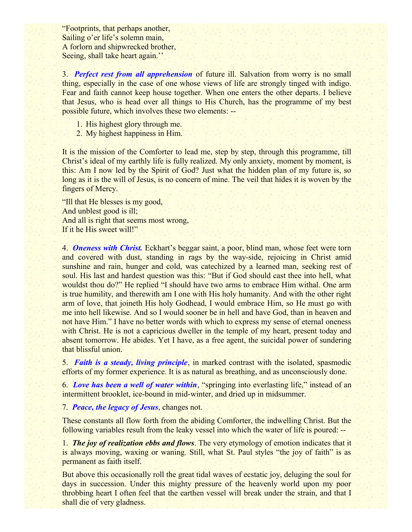"Footprints, that perhaps another, Sailing o'er life's solemn main, A forlorn and shipwrecked brother, Seeing, shall take heart again."

3. *Perfect rest from all apprehension* of future ill. Salvation from worry is no small thing, especially in the case of one whose views of life are strongly tinged with indigo. Fear and faith cannot keep house together. When one enters the other departs. I believe that Jesus, who is head over all things to His Church, has the programme of my best possible future, which involves these two elements: --

- 1. His highest glory through me.
- 2. My highest happiness in Him.

It is the mission of the Comforter to lead me, step by step, through this programme, till Christ's ideal of my earthly life is fully realized. My only anxiety, moment by moment, is this: Am I now led by the Spirit of God? Just what the hidden plan of my future is, so long as it is the will of Jesus, is no concern of mine. The veil that hides it is woven by the fingers of Mercy.

"Ill that He blesses is my good, And unblest good is ill; And all is right that seems most wrong, If it he His sweet will!"

4. *Oneness with Christ.* Eckhart's beggar saint, a poor, blind man, whose feet were torn and covered with dust, standing in rags by the way-side, rejoicing in Christ amid sunshine and rain, hunger and cold, was catechized by a learned man, seeking rest of soul. His last and hardest question was this: "But if God should cast thee into hell, what wouldst thou do?" He replied "I should have two arms to embrace Him withal. One arm is true humility, and therewith am I one with His holy humanity. And with the other right arm of love, that joineth His holy Godhead, I would embrace Him, so He must go with me into hell likewise. And so I would sooner be in hell and have God, than in heaven and not have Him." I have no better words with which to express my sense of eternal oneness with Christ. He is not a capricious dweller in the temple of my heart, present today and absent tomorrow. He abides. Yet I have, as a free agent, the suicidal power of sundering that blissful union.

5. *Faith is a steady, living principle*, in marked contrast with the isolated, spasmodic efforts of my former experience. It is as natural as breathing, and as unconsciously done.

6. *Love has been a well of water within*, "springing into everlasting life," instead of an intermittent brooklet, ice-bound in mid-winter, and dried up in midsummer.

7. *Peace, the legacy of Jesus*, changes not.

These constants all flow forth from the abiding Comforter, the indwelling Christ. But the following variables result from the leaky vessel into which the water of life is poured: --

1. *The joy of realization ebbs and flows*. The very etymology of emotion indicates that it is always moving, waxing or waning. Still, what St. Paul styles "the joy of faith" is as permanent as faith itself.

But above this occasionally roll the great tidal waves of ecstatic joy, deluging the soul for days in succession. Under this mighty pressure of the heavenly world upon my poor throbbing heart I often feel that the earthen vessel will break under the strain, and that I shall die of very gladness.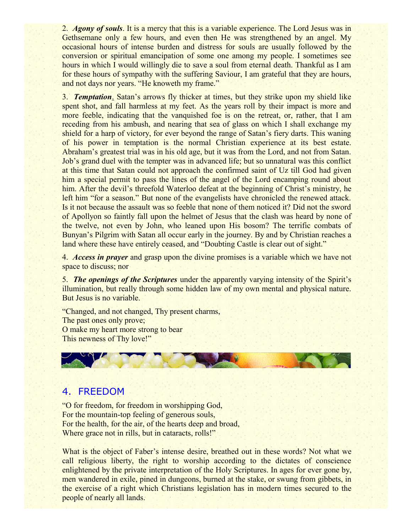2. *Agony of souls*. It is a mercy that this is a variable experience. The Lord Jesus was in Gethsemane only a few hours, and even then He was strengthened by an angel. My occasional hours of intense burden and distress for souls are usually followed by the conversion or spiritual emancipation of some one among my people. I sometimes see hours in which I would willingly die to save a soul from eternal death. Thankful as I am for these hours of sympathy with the suffering Saviour, I am grateful that they are hours, and not days nor years. "He knoweth my frame."

3. *Temptation*. Satan's arrows fly thicker at times, but they strike upon my shield like spent shot, and fall harmless at my feet. As the years roll by their impact is more and more feeble, indicating that the vanquished foe is on the retreat, or, rather, that I am receding from his ambush, and nearing that sea of glass on which I shall exchange my shield for a harp of victory, for ever beyond the range of Satan's fiery darts. This waning of his power in temptation is the normal Christian experience at its best estate. Abraham's greatest trial was in his old age, but it was from the Lord, and not from Satan. Job's grand duel with the tempter was in advanced life; but so unnatural was this conflict at this time that Satan could not approach the confirmed saint of Uz till God had given him a special permit to pass the lines of the angel of the Lord encamping round about him. After the devil's threefold Waterloo defeat at the beginning of Christ's ministry, he left him "for a season." But none of the evangelists have chronicled the renewed attack. Is it not because the assault was so feeble that none of them noticed it? Did not the sword of Apollyon so faintly fall upon the helmet of Jesus that the clash was heard by none of the twelve, not even by John, who leaned upon His bosom? The terrific combats of Bunyan's Pilgrim with Satan all occur early in the journey. By and by Christian reaches a land where these have entirely ceased, and "Doubting Castle is clear out of sight."

4. *Access in prayer* and grasp upon the divine promises is a variable which we have not space to discuss; nor

5. *The openings of the Scriptures* under the apparently varying intensity of the Spirit's illumination, but really through some hidden law of my own mental and physical nature. But Jesus is no variable.

"Changed, and not changed, Thy present charms, The past ones only prove; O make my heart more strong to bear This newness of Thy love!"



### 4. FREEDOM

"O for freedom, for freedom in worshipping God, For the mountain-top feeling of generous souls, For the health, for the air, of the hearts deep and broad, Where grace not in rills, but in cataracts, rolls!"

What is the object of Faber's intense desire, breathed out in these words? Not what we call religious liberty, the right to worship according to the dictates of conscience enlightened by the private interpretation of the Holy Scriptures. In ages for ever gone by, men wandered in exile, pined in dungeons, burned at the stake, or swung from gibbets, in the exercise of a right which Christians legislation has in modern times secured to the people of nearly all lands.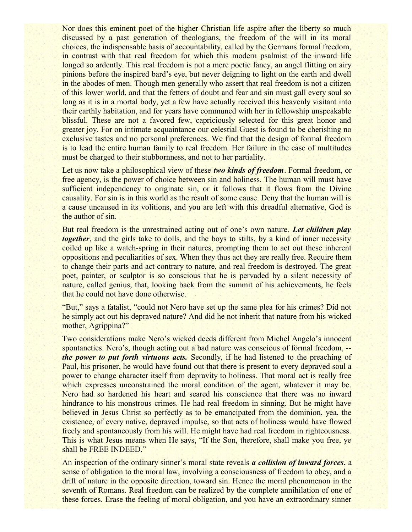Nor does this eminent poet of the higher Christian life aspire after the liberty so much discussed by a past generation of theologians, the freedom of the will in its moral choices, the indispensable basis of accountability, called by the Germans formal freedom, in contrast with that real freedom for which this modern psalmist of the inward life longed so ardently. This real freedom is not a mere poetic fancy, an angel flitting on airy pinions before the inspired bard's eye, but never deigning to light on the earth and dwell in the abodes of men. Though men generally who assert that real freedom is not a citizen of this lower world, and that the fetters of doubt and fear and sin must gall every soul so long as it is in a mortal body, yet a few have actually received this heavenly visitant into their earthly habitation, and for years have communed with her in fellowship unspeakable blissful. These are not a favored few, capriciously selected for this great honor and greater joy. For on intimate acquaintance our celestial Guest is found to be cherishing no exclusive tastes and no personal preferences. We find that the design of formal freedom is to lead the entire human family to real freedom. Her failure in the case of multitudes must be charged to their stubbornness, and not to her partiality.

Let us now take a philosophical view of these *two kinds of freedom*. Formal freedom, or free agency, is the power of choice between sin and holiness. The human will must have sufficient independency to originate sin, or it follows that it flows from the Divine causality. For sin is in this world as the result of some cause. Deny that the human will is a cause uncaused in its volitions, and you are left with this dreadful alternative, God is the author of sin.

But real freedom is the unrestrained acting out of one's own nature. *Let children play together*, and the girls take to dolls, and the boys to stilts, by a kind of inner necessity coiled up like a watch-spring in their natures, prompting them to act out these inherent oppositions and peculiarities of sex. When they thus act they are really free. Require them to change their parts and act contrary to nature, and real freedom is destroyed. The great poet, painter, or sculptor is so conscious that he is pervaded by a silent necessity of nature, called genius, that, looking back from the summit of his achievements, he feels that he could not have done otherwise.

"But," says a fatalist, "could not Nero have set up the same plea for his crimes? Did not he simply act out his depraved nature? And did he not inherit that nature from his wicked mother, Agrippina?"

Two considerations make Nero's wicked deeds different from Michel Angelo's innocent spontaneties. Nero's, though acting out a bad nature was conscious of formal freedom, -*the power to put forth virtuous acts.* Secondly, if he had listened to the preaching of Paul, his prisoner, he would have found out that there is present to every depraved soul a power to change character itself from depravity to holiness. That moral act is really free which expresses unconstrained the moral condition of the agent, whatever it may be. Nero had so hardened his heart and seared his conscience that there was no inward hindrance to his monstrous crimes. He had real freedom in sinning. But he might have believed in Jesus Christ so perfectly as to be emancipated from the dominion, yea, the existence, of every native, depraved impulse, so that acts of holiness would have flowed freely and spontaneously from his will. He might have had real freedom in righteousness. This is what Jesus means when He says, "If the Son, therefore, shall make you free, ye shall be FREE INDEED."

An inspection of the ordinary sinner's moral state reveals *a collision of inward forces*, a sense of obligation to the moral law, involving a consciousness of freedom to obey, and a drift of nature in the opposite direction, toward sin. Hence the moral phenomenon in the seventh of Romans. Real freedom can be realized by the complete annihilation of one of these forces. Erase the feeling of moral obligation, and you have an extraordinary sinner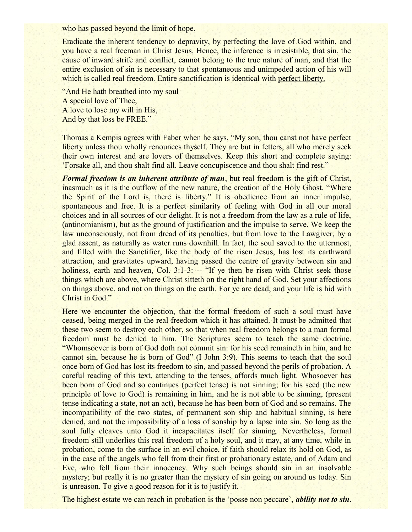who has passed beyond the limit of hope.

Eradicate the inherent tendency to depravity, by perfecting the love of God within, and you have a real freeman in Christ Jesus. Hence, the inference is irresistible, that sin, the cause of inward strife and conflict, cannot belong to the true nature of man, and that the entire exclusion of sin is necessary to that spontaneous and unimpeded action of his will which is called real freedom. Entire sanctification is identical with perfect liberty.

"And He hath breathed into my soul A special love of Thee, A love to lose my will in His, And by that loss be FREE."

Thomas a Kempis agrees with Faber when he says, "My son, thou canst not have perfect liberty unless thou wholly renounces thyself. They are but in fetters, all who merely seek their own interest and are lovers of themselves. Keep this short and complete saying: 'Forsake all, and thou shalt find all. Leave concupiscence and thou shalt find rest."

*Formal freedom is an inherent attribute of man*, but real freedom is the gift of Christ, inasmuch as it is the outflow of the new nature, the creation of the Holy Ghost. "Where the Spirit of the Lord is, there is liberty." It is obedience from an inner impulse, spontaneous and free. It is a perfect similarity of feeling with God in all our moral choices and in all sources of our delight. It is not a freedom from the law as a rule of life, (antinomianism), but as the ground of justification and the impulse to serve. We keep the law unconsciously, not from dread of its penalties, but from love to the Lawgiver, by a glad assent, as naturally as water runs downhill. In fact, the soul saved to the uttermost, and filled with the Sanctifier, like the body of the risen Jesus, has lost its earthward attraction, and gravitates upward, having passed the centre of gravity between sin and holiness, earth and heaven, Col. 3:1-3: -- "If ye then be risen with Christ seek those things which are above, where Christ sitteth on the right hand of God. Set your affections on things above, and not on things on the earth. For ye are dead, and your life is hid with Christ in God."

Here we encounter the objection, that the formal freedom of such a soul must have ceased, being merged in the real freedom which it has attained. It must be admitted that these two seem to destroy each other, so that when real freedom belongs to a man formal freedom must be denied to him. The Scriptures seem to teach the same doctrine. "Whomsoever is born of God doth not commit sin: for his seed remaineth in him, and he cannot sin, because he is born of God" (I John 3:9). This seems to teach that the soul once born of God has lost its freedom to sin, and passed beyond the perils of probation. A careful reading of this text, attending to the tenses, affords much light. Whosoever has been born of God and so continues (perfect tense) is not sinning; for his seed (the new principle of love to God) is remaining in him, and he is not able to be sinning, (present tense indicating a state, not an act), because he has been born of God and so remains. The incompatibility of the two states, of permanent son ship and habitual sinning, is here denied, and not the impossibility of a loss of sonship by a lapse into sin. So long as the soul fully cleaves unto God it incapacitates itself for sinning. Nevertheless, formal freedom still underlies this real freedom of a holy soul, and it may, at any time, while in probation, come to the surface in an evil choice, if faith should relax its hold on God, as in the case of the angels who fell from their first or probationary estate, and of Adam and Eve, who fell from their innocency. Why such beings should sin in an insolvable mystery; but really it is no greater than the mystery of sin going on around us today. Sin is unreason. To give a good reason for it is to justify it.

The highest estate we can reach in probation is the 'posse non peccare', *ability not to sin*.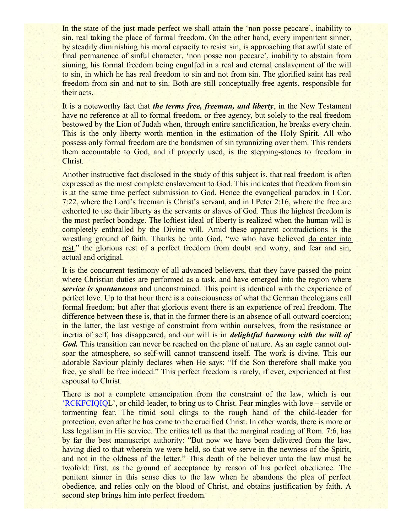In the state of the just made perfect we shall attain the 'non posse peccare', inability to sin, real taking the place of formal freedom. On the other hand, every impenitent sinner, by steadily diminishing his moral capacity to resist sin, is approaching that awful state of final permanence of sinful character, 'non posse non peccare', inability to abstain from sinning, his formal freedom being engulfed in a real and eternal enslavement of the will to sin, in which he has real freedom to sin and not from sin. The glorified saint has real freedom from sin and not to sin. Both are still conceptually free agents, responsible for their acts.

It is a noteworthy fact that *the terms free, freeman, and liberty*, in the New Testament have no reference at all to formal freedom, or free agency, but solely to the real freedom bestowed by the Lion of Judah when, through entire sanctification, he breaks every chain. This is the only liberty worth mention in the estimation of the Holy Spirit. All who possess only formal freedom are the bondsmen of sin tyrannizing over them. This renders them accountable to God, and if properly used, is the stepping-stones to freedom in Christ.

Another instructive fact disclosed in the study of this subject is, that real freedom is often expressed as the most complete enslavement to God. This indicates that freedom from sin is at the same time perfect submission to God. Hence the evangelical paradox in I Cor. 7:22, where the Lord's freeman is Christ's servant, and in I Peter 2:16, where the free are exhorted to use their liberty as the servants or slaves of God. Thus the highest freedom is the most perfect bondage. The loftiest ideal of liberty is realized when the human will is completely enthralled by the Divine will. Amid these apparent contradictions is the wrestling ground of faith. Thanks be unto God, "we who have believed do enter into rest," the glorious rest of a perfect freedom from doubt and worry, and fear and sin, actual and original.

It is the concurrent testimony of all advanced believers, that they have passed the point where Christian duties are performed as a task, and have emerged into the region where *service is spontaneous* and unconstrained. This point is identical with the experience of perfect love. Up to that hour there is a consciousness of what the German theologians call formal freedom; but after that glorious event there is an experience of real freedom. The difference between these is, that in the former there is an absence of all outward coercion; in the latter, the last vestige of constraint from within ourselves, from the resistance or inertia of self, has disappeared, and our will is in *delightful harmony with the will of God.* This transition can never be reached on the plane of nature. As an eagle cannot outsoar the atmosphere, so self-will cannot transcend itself. The work is divine. This our adorable Saviour plainly declares when He says: "If the Son therefore shall make you free, ye shall be free indeed." This perfect freedom is rarely, if ever, experienced at first espousal to Christ.

There is not a complete emancipation from the constraint of the law, which is our 'RCKFCIQIQL', or child-leader, to bring us to Christ. Fear mingles with love – servile or tormenting fear. The timid soul clings to the rough hand of the child-leader for protection, even after he has come to the crucified Christ. In other words, there is more or less legalism in His service. The critics tell us that the marginal reading of Rom. 7:6, has by far the best manuscript authority: "But now we have been delivered from the law, having died to that wherein we were held, so that we serve in the newness of the Spirit, and not in the oldness of the letter." This death of the believer unto the law must be twofold: first, as the ground of acceptance by reason of his perfect obedience. The penitent sinner in this sense dies to the law when he abandons the plea of perfect obedience, and relies only on the blood of Christ, and obtains justification by faith. A second step brings him into perfect freedom.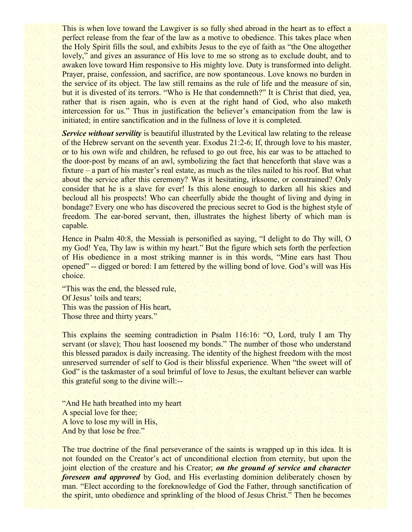This is when love toward the Lawgiver is so fully shed abroad in the heart as to effect a perfect release from the fear of the law as a motive to obedience. This takes place when the Holy Spirit fills the soul, and exhibits Jesus to the eye of faith as "the One altogether lovely," and gives an assurance of His love to me so strong as to exclude doubt, and to awaken love toward Him responsive to His mighty love. Duty is transformed into delight. Prayer, praise, confession, and sacrifice, are now spontaneous. Love knows no burden in the service of its object. The law still remains as the rule of life and the measure of sin, but it is divested of its terrors. "Who is He that condemneth?" It is Christ that died, yea, rather that is risen again, who is even at the right hand of God, who also maketh intercession for us." Thus in justification the believer's emancipation from the law is initiated; in entire sanctification and in the fullness of love it is completed.

**Service without servility** is beautiful illustrated by the Levitical law relating to the release of the Hebrew servant on the seventh year. Exodus 21:2-6; If, through love to his master, or to his own wife and children, he refused to go out free, his ear was to be attached to the door-post by means of an awl, symbolizing the fact that henceforth that slave was a fixture – a part of his master's real estate, as much as the tiles nailed to his roof. But what about the service after this ceremony? Was it hesitating, irksome, or constrained? Only consider that he is a slave for ever! Is this alone enough to darken all his skies and becloud all his prospects! Who can cheerfully abide the thought of living and dying in bondage? Every one who has discovered the precious secret to God is the highest style of freedom. The ear-bored servant, then, illustrates the highest liberty of which man is capable.

Hence in Psalm 40:8, the Messiah is personified as saying, "I delight to do Thy will, O my God! Yea, Thy law is within my heart." But the figure which sets forth the perfection of His obedience in a most striking manner is in this words, "Mine ears hast Thou opened" -- digged or bored: I am fettered by the willing bond of love. God's will was His choice.

"This was the end, the blessed rule, Of Jesus' toils and tears; This was the passion of His heart, Those three and thirty years."

This explains the seeming contradiction in Psalm 116:16: "O, Lord, truly I am Thy servant (or slave); Thou hast loosened my bonds." The number of those who understand this blessed paradox is daily increasing. The identity of the highest freedom with the most unreserved surrender of self to God is their blissful experience. When "the sweet will of God" is the taskmaster of a soul brimful of love to Jesus, the exultant believer can warble this grateful song to the divine will:--

"And He hath breathed into my heart A special love for thee; A love to lose my will in His, And by that lose be free."

The true doctrine of the final perseverance of the saints is wrapped up in this idea. It is not founded on the Creator's act of unconditional election from eternity, but upon the joint election of the creature and his Creator; *on the ground of service and character foreseen and approved* by God, and His everlasting dominion deliberately chosen by man. "Elect according to the foreknowledge of God the Father, through sanctification of the spirit, unto obedience and sprinkling of the blood of Jesus Christ." Then he becomes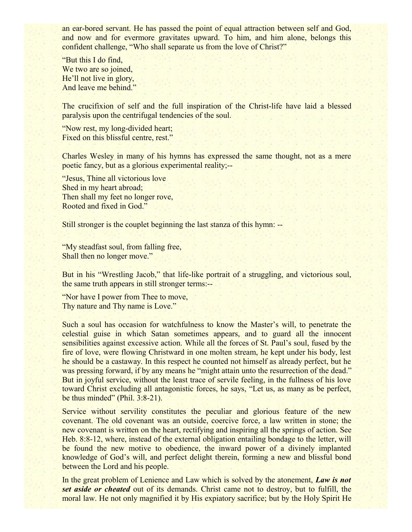an ear-bored servant. He has passed the point of equal attraction between self and God, and now and for evermore gravitates upward. To him, and him alone, belongs this confident challenge, "Who shall separate us from the love of Christ?"

"But this I do find, We two are so joined, He'll not live in glory, And leave me behind."

The crucifixion of self and the full inspiration of the Christ-life have laid a blessed paralysis upon the centrifugal tendencies of the soul.

"Now rest, my long-divided heart; Fixed on this blissful centre, rest."

Charles Wesley in many of his hymns has expressed the same thought, not as a mere poetic fancy, but as a glorious experimental reality;--

"Jesus, Thine all victorious love Shed in my heart abroad; Then shall my feet no longer rove. Rooted and fixed in God."

Still stronger is the couplet beginning the last stanza of this hymn: --

"My steadfast soul, from falling free, Shall then no longer move."

But in his "Wrestling Jacob," that life-like portrait of a struggling, and victorious soul, the same truth appears in still stronger terms:--

"Nor have I power from Thee to move, Thy nature and Thy name is Love."

Such a soul has occasion for watchfulness to know the Master's will, to penetrate the celestial guise in which Satan sometimes appears, and to guard all the innocent sensibilities against excessive action. While all the forces of St. Paul's soul, fused by the fire of love, were flowing Christward in one molten stream, he kept under his body, lest he should be a castaway. In this respect he counted not himself as already perfect, but he was pressing forward, if by any means he "might attain unto the resurrection of the dead." But in joyful service, without the least trace of servile feeling, in the fullness of his love toward Christ excluding all antagonistic forces, he says, "Let us, as many as be perfect, be thus minded" (Phil. 3:8-21).

Service without servility constitutes the peculiar and glorious feature of the new covenant. The old covenant was an outside, coercive force, a law written in stone; the new covenant is written on the heart, rectifying and inspiring all the springs of action. See Heb. 8:8-12, where, instead of the external obligation entailing bondage to the letter, will be found the new motive to obedience, the inward power of a divinely implanted knowledge of God's will, and perfect delight therein, forming a new and blissful bond between the Lord and his people.

In the great problem of Lenience and Law which is solved by the atonement, *Law is not set aside or cheated* out of its demands. Christ came not to destroy, but to fulfill, the moral law. He not only magnified it by His expiatory sacrifice; but by the Holy Spirit He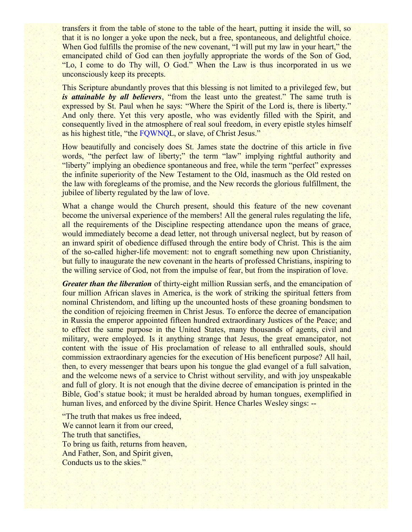transfers it from the table of stone to the table of the heart, putting it inside the will, so that it is no longer a yoke upon the neck, but a free, spontaneous, and delightful choice. When God fulfills the promise of the new covenant, "I will put my law in your heart," the emancipated child of God can then joyfully appropriate the words of the Son of God, "Lo, I come to do Thy will, O God." When the Law is thus incorporated in us we unconsciously keep its precepts.

This Scripture abundantly proves that this blessing is not limited to a privileged few, but *is attainable by all believers*, "from the least unto the greatest." The same truth is expressed by St. Paul when he says: "Where the Spirit of the Lord is, there is liberty." And only there. Yet this very apostle, who was evidently filled with the Spirit, and consequently lived in the atmosphere of real soul freedom, in every epistle styles himself as his highest title, "the FQWNQL, or slave, of Christ Jesus."

How beautifully and concisely does St. James state the doctrine of this article in five words, "the perfect law of liberty;" the term "law" implying rightful authority and "liberty" implying an obedience spontaneous and free, while the term "perfect" expresses the infinite superiority of the New Testament to the Old, inasmuch as the Old rested on the law with foregleams of the promise, and the New records the glorious fulfillment, the jubilee of liberty regulated by the law of love.

What a change would the Church present, should this feature of the new covenant become the universal experience of the members! All the general rules regulating the life, all the requirements of the Discipline respecting attendance upon the means of grace, would immediately become a dead letter, not through universal neglect, but by reason of an inward spirit of obedience diffused through the entire body of Christ. This is the aim of the so-called higher-life movement: not to engraft something new upon Christianity, but fully to inaugurate the new covenant in the hearts of professed Christians, inspiring to the willing service of God, not from the impulse of fear, but from the inspiration of love.

*Greater than the liberation* of thirty-eight million Russian serfs, and the emancipation of four million African slaves in America, is the work of striking the spiritual fetters from nominal Christendom, and lifting up the uncounted hosts of these groaning bondsmen to the condition of rejoicing freemen in Christ Jesus. To enforce the decree of emancipation in Russia the emperor appointed fifteen hundred extraordinary Justices of the Peace; and to effect the same purpose in the United States, many thousands of agents, civil and military, were employed. Is it anything strange that Jesus, the great emancipator, not content with the issue of His proclamation of release to all enthralled souls, should commission extraordinary agencies for the execution of His beneficent purpose? All hail, then, to every messenger that bears upon his tongue the glad evangel of a full salvation, and the welcome news of a service to Christ without servility, and with joy unspeakable and full of glory. It is not enough that the divine decree of emancipation is printed in the Bible, God's statue book; it must be heralded abroad by human tongues, exemplified in human lives, and enforced by the divine Spirit. Hence Charles Wesley sings: --

"The truth that makes us free indeed, We cannot learn it from our creed. The truth that sanctifies, To bring us faith, returns from heaven, And Father, Son, and Spirit given, Conducts us to the skies."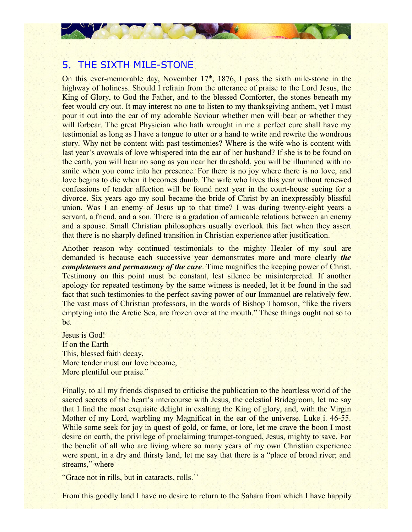

On this ever-memorable day, November  $17<sup>th</sup>$ , 1876, I pass the sixth mile-stone in the highway of holiness. Should I refrain from the utterance of praise to the Lord Jesus, the King of Glory, to God the Father, and to the blessed Comforter, the stones beneath my feet would cry out. It may interest no one to listen to my thanksgiving anthem, yet I must pour it out into the ear of my adorable Saviour whether men will bear or whether they will forbear. The great Physician who hath wrought in me a perfect cure shall have my testimonial as long as I have a tongue to utter or a hand to write and rewrite the wondrous story. Why not be content with past testimonies? Where is the wife who is content with last year's avowals of love whispered into the ear of her husband? If she is to be found on the earth, you will hear no song as you near her threshold, you will be illumined with no smile when you come into her presence. For there is no joy where there is no love, and love begins to die when it becomes dumb. The wife who lives this year without renewed confessions of tender affection will be found next year in the court-house sueing for a divorce. Six years ago my soul became the bride of Christ by an inexpressibly blissful union. Was I an enemy of Jesus up to that time? I was during twenty-eight years a servant, a friend, and a son. There is a gradation of amicable relations between an enemy and a spouse. Small Christian philosophers usually overlook this fact when they assert that there is no sharply defined transition in Christian experience after justification.

Another reason why continued testimonials to the mighty Healer of my soul are demanded is because each successive year demonstrates more and more clearly *the completeness and permanency of the cure*. Time magnifies the keeping power of Christ. Testimony on this point must be constant, lest silence be misinterpreted. If another apology for repeated testimony by the same witness is needed, let it be found in the sad fact that such testimonies to the perfect saving power of our Immanuel are relatively few. The vast mass of Christian professors, in the words of Bishop Thomson, "like the rivers emptying into the Arctic Sea, are frozen over at the mouth." These things ought not so to be.

Jesus is God! If on the Earth This, blessed faith decay, More tender must our love become, More plentiful our praise."

Finally, to all my friends disposed to criticise the publication to the heartless world of the sacred secrets of the heart's intercourse with Jesus, the celestial Bridegroom, let me say that I find the most exquisite delight in exalting the King of glory, and, with the Virgin Mother of my Lord, warbling my Magnificat in the ear of the universe. Luke i. 46-55. While some seek for joy in quest of gold, or fame, or lore, let me crave the boon I most desire on earth, the privilege of proclaiming trumpet-tongued, Jesus, mighty to save. For the benefit of all who are living where so many years of my own Christian experience were spent, in a dry and thirsty land, let me say that there is a "place of broad river; and streams," where

"Grace not in rills, but in cataracts, rolls.''

From this goodly land I have no desire to return to the Sahara from which I have happily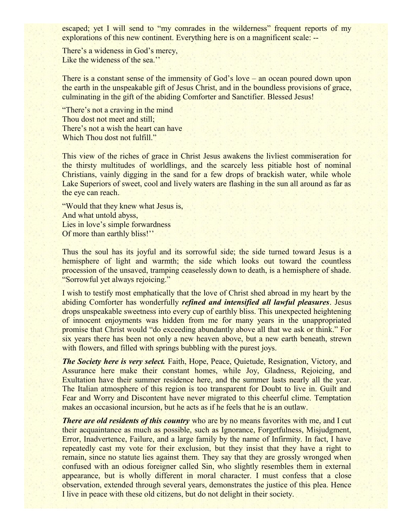escaped; yet I will send to "my comrades in the wilderness" frequent reports of my explorations of this new continent. Everything here is on a magnificent scale: --

There's a wideness in God's mercy, Like the wideness of the sea."

There is a constant sense of the immensity of God's love – an ocean poured down upon the earth in the unspeakable gift of Jesus Christ, and in the boundless provisions of grace, culminating in the gift of the abiding Comforter and Sanctifier. Blessed Jesus!

"There's not a craving in the mind Thou dost not meet and still; There's not a wish the heart can have Which Thou dost not fulfill."

This view of the riches of grace in Christ Jesus awakens the livliest commiseration for the thirsty multitudes of worldlings, and the scarcely less pitiable host of nominal Christians, vainly digging in the sand for a few drops of brackish water, while whole Lake Superiors of sweet, cool and lively waters are flashing in the sun all around as far as the eye can reach.

"Would that they knew what Jesus is, And what untold abyss, Lies in love's simple forwardness Of more than earthly bliss!"

Thus the soul has its joyful and its sorrowful side; the side turned toward Jesus is a hemisphere of light and warmth; the side which looks out toward the countless procession of the unsaved, tramping ceaselessly down to death, is a hemisphere of shade. "Sorrowful yet always rejoicing."

I wish to testify most emphatically that the love of Christ shed abroad in my heart by the abiding Comforter has wonderfully *refined and intensified all lawful pleasures*. Jesus drops unspeakable sweetness into every cup of earthly bliss. This unexpected heightening of innocent enjoyments was hidden from me for many years in the unappropriated promise that Christ would "do exceeding abundantly above all that we ask or think." For six years there has been not only a new heaven above, but a new earth beneath, strewn with flowers, and filled with springs bubbling with the purest joys.

*The Society here is very select.* Faith, Hope, Peace, Quietude, Resignation, Victory, and Assurance here make their constant homes, while Joy, Gladness, Rejoicing, and Exultation have their summer residence here, and the summer lasts nearly all the year. The Italian atmosphere of this region is too transparent for Doubt to live in. Guilt and Fear and Worry and Discontent have never migrated to this cheerful clime. Temptation makes an occasional incursion, but he acts as if he feels that he is an outlaw.

*There are old residents of this country* who are by no means favorites with me, and I cut their acquaintance as much as possible, such as Ignorance, Forgetfulness, Misjudgment, Error, Inadvertence, Failure, and a large family by the name of Infirmity. In fact, I have repeatedly cast my vote for their exclusion, but they insist that they have a right to remain, since no statute lies against them. They say that they are grossly wronged when confused with an odious foreigner called Sin, who slightly resembles them in external appearance, but is wholly different in moral character. I must confess that a close observation, extended through several years, demonstrates the justice of this plea. Hence I live in peace with these old citizens, but do not delight in their society.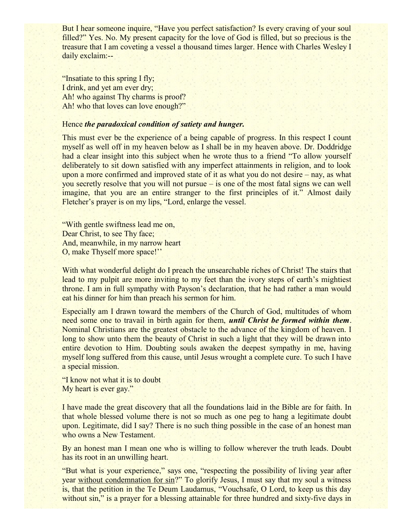But I hear someone inquire, "Have you perfect satisfaction? Is every craving of your soul filled?" Yes. No. My present capacity for the love of God is filled, but so precious is the treasure that I am coveting a vessel a thousand times larger. Hence with Charles Wesley I daily exclaim:--

"Insatiate to this spring I fly; I drink, and yet am ever dry; Ah! who against Thy charms is proof? Ah! who that loves can love enough?"

#### Hence *the paradoxical condition of satiety and hunger.*

This must ever be the experience of a being capable of progress. In this respect I count myself as well off in my heaven below as I shall be in my heaven above. Dr. Doddridge had a clear insight into this subject when he wrote thus to a friend "To allow yourself deliberately to sit down satisfied with any imperfect attainments in religion, and to look upon a more confirmed and improved state of it as what you do not desire – nay, as what you secretly resolve that you will not pursue – is one of the most fatal signs we can well imagine, that you are an entire stranger to the first principles of it." Almost daily Fletcher's prayer is on my lips, "Lord, enlarge the vessel.

"With gentle swiftness lead me on, Dear Christ, to see Thy face; And, meanwhile, in my narrow heart O, make Thyself more space!''

With what wonderful delight do I preach the unsearchable riches of Christ! The stairs that lead to my pulpit are more inviting to my feet than the ivory steps of earth's mightiest throne. I am in full sympathy with Payson's declaration, that he had rather a man would eat his dinner for him than preach his sermon for him.

Especially am I drawn toward the members of the Church of God, multitudes of whom need some one to travail in birth again for them, *until Christ be formed within them*. Nominal Christians are the greatest obstacle to the advance of the kingdom of heaven. I long to show unto them the beauty of Christ in such a light that they will be drawn into entire devotion to Him. Doubting souls awaken the deepest sympathy in me, having myself long suffered from this cause, until Jesus wrought a complete cure. To such I have a special mission.

"I know not what it is to doubt My heart is ever gay."

I have made the great discovery that all the foundations laid in the Bible are for faith. In that whole blessed volume there is not so much as one peg to hang a legitimate doubt upon. Legitimate, did I say? There is no such thing possible in the case of an honest man who owns a New Testament.

By an honest man I mean one who is willing to follow wherever the truth leads. Doubt has its root in an unwilling heart.

"But what is your experience," says one, "respecting the possibility of living year after year without condemnation for sin?" To glorify Jesus, I must say that my soul a witness is, that the petition in the Te Deum Laudamus, "Vouchsafe, O Lord, to keep us this day without sin," is a prayer for a blessing attainable for three hundred and sixty-five days in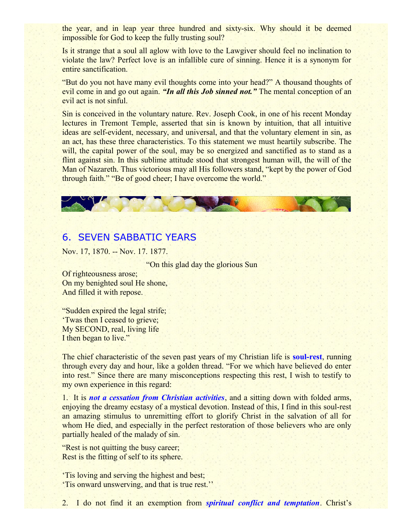the year, and in leap year three hundred and sixty-six. Why should it be deemed impossible for God to keep the fully trusting soul?

Is it strange that a soul all aglow with love to the Lawgiver should feel no inclination to violate the law? Perfect love is an infallible cure of sinning. Hence it is a synonym for entire sanctification.

"But do you not have many evil thoughts come into your head?" A thousand thoughts of evil come in and go out again. *"In all this Job sinned not."* The mental conception of an evil act is not sinful.

Sin is conceived in the voluntary nature. Rev. Joseph Cook, in one of his recent Monday lectures in Tremont Temple, asserted that sin is known by intuition, that all intuitive ideas are self-evident, necessary, and universal, and that the voluntary element in sin, as an act, has these three characteristics. To this statement we must heartily subscribe. The will, the capital power of the soul, may be so energized and sanctified as to stand as a flint against sin. In this sublime attitude stood that strongest human will, the will of the Man of Nazareth. Thus victorious may all His followers stand, "kept by the power of God through faith." "Be of good cheer; I have overcome the world."

### 6. SEVEN SABBATIC YEARS

Nov. 17, 1870. -- Nov. 17. 1877.

"On this glad day the glorious Sun

Of righteousness arose; On my benighted soul He shone, And filled it with repose.

"Sudden expired the legal strife; 'Twas then I ceased to grieve; My SECOND, real, living life I then began to live."

The chief characteristic of the seven past years of my Christian life is **soul-rest**, running through every day and hour, like a golden thread. "For we which have believed do enter into rest." Since there are many misconceptions respecting this rest, I wish to testify to my own experience in this regard:

1. It is *not a cessation from Christian activities*, and a sitting down with folded arms, enjoying the dreamy ecstasy of a mystical devotion. Instead of this, I find in this soul-rest an amazing stimulus to unremitting effort to glorify Christ in the salvation of all for whom He died, and especially in the perfect restoration of those believers who are only partially healed of the malady of sin.

"Rest is not quitting the busy career; Rest is the fitting of self to its sphere.

'Tis loving and serving the highest and best; 'Tis onward unswerving, and that is true rest.''

2. I do not find it an exemption from *spiritual conflict and temptation*. Christ's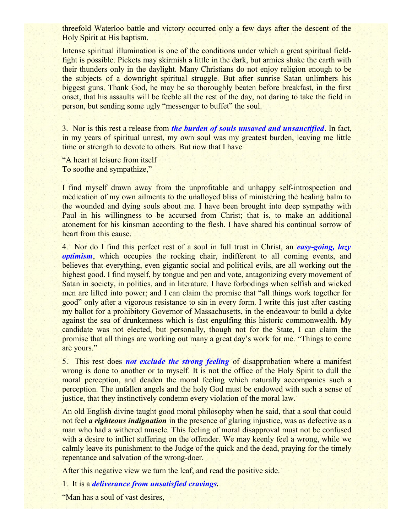threefold Waterloo battle and victory occurred only a few days after the descent of the Holy Spirit at His baptism.

Intense spiritual illumination is one of the conditions under which a great spiritual fieldfight is possible. Pickets may skirmish a little in the dark, but armies shake the earth with their thunders only in the daylight. Many Christians do not enjoy religion enough to be the subjects of a downright spiritual struggle. But after sunrise Satan unlimbers his biggest guns. Thank God, he may be so thoroughly beaten before breakfast, in the first onset, that his assaults will be feeble all the rest of the day, not daring to take the field in person, but sending some ugly "messenger to buffet" the soul.

3. Nor is this rest a release from *the burden of souls unsaved and unsanctified*. In fact, in my years of spiritual unrest, my own soul was my greatest burden, leaving me little time or strength to devote to others. But now that I have

"A heart at leisure from itself To soothe and sympathize,"

I find myself drawn away from the unprofitable and unhappy self-introspection and medication of my own ailments to the unalloyed bliss of ministering the healing balm to the wounded and dying souls about me. I have been brought into deep sympathy with Paul in his willingness to be accursed from Christ; that is, to make an additional atonement for his kinsman according to the flesh. I have shared his continual sorrow of heart from this cause.

4. Nor do I find this perfect rest of a soul in full trust in Christ, an *easy-going, lazy optimism*, which occupies the rocking chair, indifferent to all coming events, and believes that everything, even gigantic social and political evils, are all working out the highest good. I find myself, by tongue and pen and vote, antagonizing every movement of Satan in society, in politics, and in literature. I have forbodings when selfish and wicked men are lifted into power; and I can claim the promise that "all things work together for good" only after a vigorous resistance to sin in every form. I write this just after casting my ballot for a prohibitory Governor of Massachusetts, in the endeavour to build a dyke against the sea of drunkenness which is fast engulfing this historic commonwealth. My candidate was not elected, but personally, though not for the State, I can claim the promise that all things are working out many a great day's work for me. "Things to come are yours."

5. This rest does *not exclude the strong feeling* of disapprobation where a manifest wrong is done to another or to myself. It is not the office of the Holy Spirit to dull the moral perception, and deaden the moral feeling which naturally accompanies such a perception. The unfallen angels and the holy God must be endowed with such a sense of justice, that they instinctively condemn every violation of the moral law.

An old English divine taught good moral philosophy when he said, that a soul that could not feel *a righteous indignation* in the presence of glaring injustice, was as defective as a man who had a withered muscle. This feeling of moral disapproval must not be confused with a desire to inflict suffering on the offender. We may keenly feel a wrong, while we calmly leave its punishment to the Judge of the quick and the dead, praying for the timely repentance and salvation of the wrong-doer.

After this negative view we turn the leaf, and read the positive side.

1. It is a *deliverance from unsatisfied cravings.*

"Man has a soul of vast desires,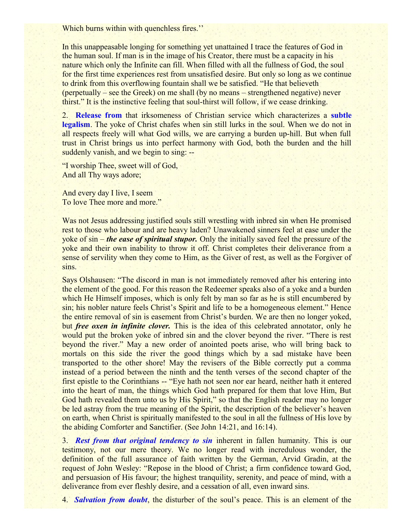Which burns within with quenchless fires."

In this unappeasable longing for something yet unattained I trace the features of God in the human soul. If man is in the image of his Creator, there must be a capacity in his nature which only the Infinite can fill. When filled with all the fullness of God, the soul for the first time experiences rest from unsatisfied desire. But only so long as we continue to drink from this overflowing fountain shall we be satisfied. "He that believeth (perpetually – see the Greek) on me shall (by no means – strengthened negative) never thirst." It is the instinctive feeling that soul-thirst will follow, if we cease drinking.

2. **Release from** that irksomeness of Christian service which characterizes a **subtle legalism**. The yoke of Christ chafes when sin still lurks in the soul. When we do not in all respects freely will what God wills, we are carrying a burden up-hill. But when full trust in Christ brings us into perfect harmony with God, both the burden and the hill suddenly vanish, and we begin to sing: --

"I worship Thee, sweet will of God, And all Thy ways adore;

And every day I live, I seem To love Thee more and more."

Was not Jesus addressing justified souls still wrestling with inbred sin when He promised rest to those who labour and are heavy laden? Unawakened sinners feel at ease under the yoke of sin – *the ease of spiritual stupor.* Only the initially saved feel the pressure of the yoke and their own inability to throw it off. Christ completes their deliverance from a sense of servility when they come to Him, as the Giver of rest, as well as the Forgiver of sins.

Says Olshausen: "The discord in man is not immediately removed after his entering into the element of the good. For this reason the Redeemer speaks also of a yoke and a burden which He Himself imposes, which is only felt by man so far as he is still encumbered by sin; his nobler nature feels Christ's Spirit and life to be a homogeneous element." Hence the entire removal of sin is easement from Christ's burden. We are then no longer yoked, but *free oxen in infinite clover.* This is the idea of this celebrated annotator, only he would put the broken yoke of inbred sin and the clover beyond the river. "There is rest beyond the river." May a new order of anointed poets arise, who will bring back to mortals on this side the river the good things which by a sad mistake have been transported to the other shore! May the revisers of the Bible correctly put a comma instead of a period between the ninth and the tenth verses of the second chapter of the first epistle to the Corinthians -- "Eye hath not seen nor ear heard, neither hath it entered into the heart of man, the things which God hath prepared for them that love Him, But God hath revealed them unto us by His Spirit," so that the English reader may no longer be led astray from the true meaning of the Spirit, the description of the believer's heaven on earth, when Christ is spiritually manifested to the soul in all the fullness of His love by the abiding Comforter and Sanctifier. (See John 14:21, and 16:14).

3. *Rest from that original tendency to sin* inherent in fallen humanity. This is our testimony, not our mere theory. We no longer read with incredulous wonder, the definition of the full assurance of faith written by the German, Arvid Gradin, at the request of John Wesley: "Repose in the blood of Christ; a firm confidence toward God, and persuasion of His favour; the highest tranquility, serenity, and peace of mind, with a deliverance from ever fleshly desire, and a cessation of all, even inward sins.

4. *Salvation from doubt*, the disturber of the soul's peace. This is an element of the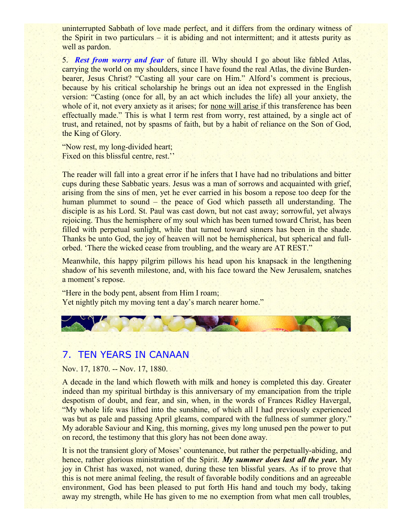uninterrupted Sabbath of love made perfect, and it differs from the ordinary witness of the Spirit in two particulars – it is abiding and not intermittent; and it attests purity as well as pardon.

5. *Rest from worry and fear* of future ill. Why should I go about like fabled Atlas, carrying the world on my shoulders, since I have found the real Atlas, the divine Burdenbearer, Jesus Christ? "Casting all your care on Him." Alford's comment is precious, because by his critical scholarship he brings out an idea not expressed in the English version: "Casting (once for all, by an act which includes the life) all your anxiety, the whole of it, not every anxiety as it arises; for <u>none will arise</u> if this transference has been effectually made." This is what I term rest from worry, rest attained, by a single act of trust, and retained, not by spasms of faith, but by a habit of reliance on the Son of God, the King of Glory.

"Now rest, my long-divided heart; Fixed on this blissful centre, rest."

The reader will fall into a great error if he infers that I have had no tribulations and bitter cups during these Sabbatic years. Jesus was a man of sorrows and acquainted with grief, arising from the sins of men, yet he ever carried in his bosom a repose too deep for the human plummet to sound – the peace of God which passeth all understanding. The disciple is as his Lord. St. Paul was cast down, but not cast away; sorrowful, yet always rejoicing. Thus the hemisphere of my soul which has been turned toward Christ, has been filled with perpetual sunlight, while that turned toward sinners has been in the shade. Thanks be unto God, the joy of heaven will not be hemispherical, but spherical and fullorbed. 'There the wicked cease from troubling, and the weary are AT REST."

Meanwhile, this happy pilgrim pillows his head upon his knapsack in the lengthening shadow of his seventh milestone, and, with his face toward the New Jerusalem, snatches a moment's repose.

"Here in the body pent, absent from Him I roam; Yet nightly pitch my moving tent a day's march nearer home."



### 7. TEN YEARS IN CANAAN

Nov. 17, 1870. -- Nov. 17, 1880.

A decade in the land which floweth with milk and honey is completed this day. Greater indeed than my spiritual birthday is this anniversary of my emancipation from the triple despotism of doubt, and fear, and sin, when, in the words of Frances Ridley Havergal, "My whole life was lifted into the sunshine, of which all I had previously experienced was but as pale and passing April gleams, compared with the fullness of summer glory." My adorable Saviour and King, this morning, gives my long unused pen the power to put on record, the testimony that this glory has not been done away.

It is not the transient glory of Moses' countenance, but rather the perpetually-abiding, and hence, rather glorious ministration of the Spirit. *My summer does last all the year.* My joy in Christ has waxed, not waned, during these ten blissful years. As if to prove that this is not mere animal feeling, the result of favorable bodily conditions and an agreeable environment, God has been pleased to put forth His hand and touch my body, taking away my strength, while He has given to me no exemption from what men call troubles,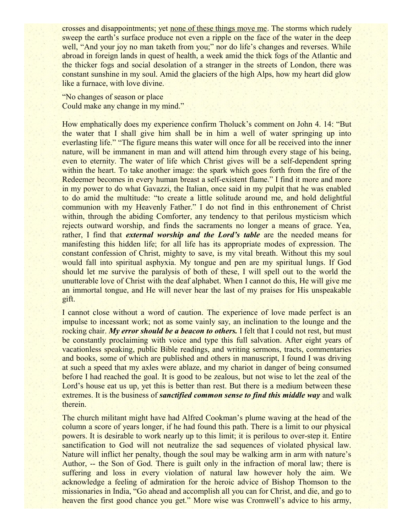crosses and disappointments; yet none of these things move me. The storms which rudely sweep the earth's surface produce not even a ripple on the face of the water in the deep well, "And your joy no man taketh from you;" nor do life's changes and reverses. While abroad in foreign lands in quest of health, a week amid the thick fogs of the Atlantic and the thicker fogs and social desolation of a stranger in the streets of London, there was constant sunshine in my soul. Amid the glaciers of the high Alps, how my heart did glow like a furnace, with love divine.

"No changes of season or place Could make any change in my mind."

How emphatically does my experience confirm Tholuck's comment on John 4. 14: "But the water that I shall give him shall be in him a well of water springing up into everlasting life." "The figure means this water will once for all be received into the inner nature, will be immanent in man and will attend him through every stage of his being, even to eternity. The water of life which Christ gives will be a self-dependent spring within the heart. To take another image: the spark which goes forth from the fire of the Redeemer becomes in every human breast a self-existent flame." I find it more and more in my power to do what Gavazzi, the Italian, once said in my pulpit that he was enabled to do amid the multitude: "to create a little solitude around me, and hold delightful communion with my Heavenly Father." I do not find in this enthronement of Christ within, through the abiding Comforter, any tendency to that perilous mysticism which rejects outward worship, and finds the sacraments no longer a means of grace. Yea, rather, I find that *external worship and the Lord's table* are the needed means for manifesting this hidden life; for all life has its appropriate modes of expression. The constant confession of Christ, mighty to save, is my vital breath. Without this my soul would fall into spiritual asphyxia. My tongue and pen are my spiritual lungs. If God should let me survive the paralysis of both of these, I will spell out to the world the unutterable love of Christ with the deaf alphabet. When I cannot do this, He will give me an immortal tongue, and He will never hear the last of my praises for His unspeakable gift.

I cannot close without a word of caution. The experience of love made perfect is an impulse to incessant work; not as some vainly say, an inclination to the lounge and the rocking chair. *My error should be a beacon to others.* I felt that I could not rest, but must be constantly proclaiming with voice and type this full salvation. After eight years of vacationless speaking, public Bible readings, and writing sermons, tracts, commentaries and books, some of which are published and others in manuscript, I found I was driving at such a speed that my axles were ablaze, and my chariot in danger of being consumed before I had reached the goal. It is good to be zealous, but not wise to let the zeal of the Lord's house eat us up, yet this is better than rest. But there is a medium between these extremes. It is the business of *sanctified common sense to find this middle way* and walk therein.

The church militant might have had Alfred Cookman's plume waving at the head of the column a score of years longer, if he had found this path. There is a limit to our physical powers. It is desirable to work nearly up to this limit; it is perilous to over-step it. Entire sanctification to God will not neutralize the sad sequences of violated physical law. Nature will inflict her penalty, though the soul may be walking arm in arm with nature's Author, -- the Son of God. There is guilt only in the infraction of moral law; there is suffering and loss in every violation of natural law however holy the aim. We acknowledge a feeling of admiration for the heroic advice of Bishop Thomson to the missionaries in India, "Go ahead and accomplish all you can for Christ, and die, and go to heaven the first good chance you get." More wise was Cromwell's advice to his army,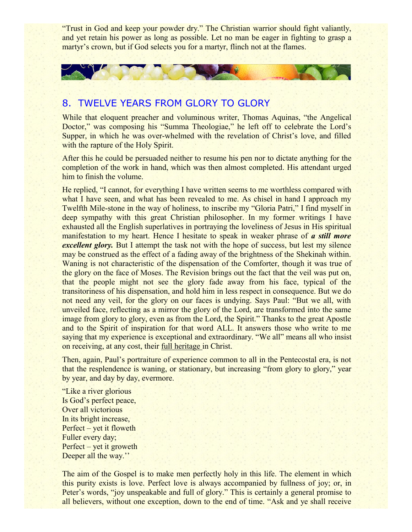"Trust in God and keep your powder dry." The Christian warrior should fight valiantly, and yet retain his power as long as possible. Let no man be eager in fighting to grasp a martyr's crown, but if God selects you for a martyr, flinch not at the flames.



### 8. TWELVE YEARS FROM GLORY TO GLORY

While that eloquent preacher and voluminous writer, Thomas Aquinas, "the Angelical Doctor," was composing his "Summa Theologiae," he left off to celebrate the Lord's Supper, in which he was over-whelmed with the revelation of Christ's love, and filled with the rapture of the Holy Spirit.

After this he could be persuaded neither to resume his pen nor to dictate anything for the completion of the work in hand, which was then almost completed. His attendant urged him to finish the volume.

He replied, "I cannot, for everything I have written seems to me worthless compared with what I have seen, and what has been revealed to me. As chisel in hand I approach my Twelfth Mile-stone in the way of holiness, to inscribe my "Gloria Patri," I find myself in deep sympathy with this great Christian philosopher. In my former writings I have exhausted all the English superlatives in portraying the loveliness of Jesus in His spiritual manifestation to my heart. Hence I hesitate to speak in weaker phrase of *a still more excellent glory.* But I attempt the task not with the hope of success, but lest my silence may be construed as the effect of a fading away of the brightness of the Shekinah within. Waning is not characteristic of the dispensation of the Comforter, though it was true of the glory on the face of Moses. The Revision brings out the fact that the veil was put on, that the people might not see the glory fade away from his face, typical of the transitoriness of his dispensation, and hold him in less respect in consequence. But we do not need any veil, for the glory on our faces is undying. Says Paul: "But we all, with unveiled face, reflecting as a mirror the glory of the Lord, are transformed into the same image from glory to glory, even as from the Lord, the Spirit." Thanks to the great Apostle and to the Spirit of inspiration for that word ALL. It answers those who write to me saying that my experience is exceptional and extraordinary. "We all" means all who insist on receiving, at any cost, their full heritage in Christ.

Then, again, Paul's portraiture of experience common to all in the Pentecostal era, is not that the resplendence is waning, or stationary, but increasing "from glory to glory," year by year, and day by day, evermore.

"Like a river glorious Is God's perfect peace, Over all victorious In its bright increase, Perfect – yet it floweth Fuller every day; Perfect – yet it groweth Deeper all the way."

The aim of the Gospel is to make men perfectly holy in this life. The element in which this purity exists is love. Perfect love is always accompanied by fullness of joy; or, in Peter's words, "joy unspeakable and full of glory." This is certainly a general promise to all believers, without one exception, down to the end of time. "Ask and ye shall receive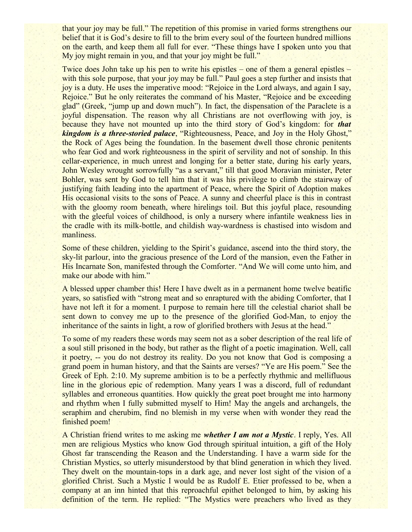that your joy may be full." The repetition of this promise in varied forms strengthens our belief that it is God's desire to fill to the brim every soul of the fourteen hundred millions on the earth, and keep them all full for ever. "These things have I spoken unto you that My joy might remain in you, and that your joy might be full."

Twice does John take up his pen to write his epistles – one of them a general epistles – with this sole purpose, that your joy may be full." Paul goes a step further and insists that joy is a duty. He uses the imperative mood: "Rejoice in the Lord always, and again I say, Rejoice." But he only reiterates the command of his Master, "Rejoice and be exceeding glad" (Greek, "jump up and down much"). In fact, the dispensation of the Paraclete is a joyful dispensation. The reason why all Christians are not overflowing with joy, is because they have not mounted up into the third story of God's kingdom: for *that kingdom is a three-storied palace*, "Righteousness, Peace, and Joy in the Holy Ghost," the Rock of Ages being the foundation. In the basement dwell those chronic penitents who fear God and work righteousness in the spirit of servility and not of sonship. In this cellar-experience, in much unrest and longing for a better state, during his early years, John Wesley wrought sorrowfully "as a servant," till that good Moravian minister, Peter Bohler, was sent by God to tell him that it was his privilege to climb the stairway of justifying faith leading into the apartment of Peace, where the Spirit of Adoption makes His occasional visits to the sons of Peace. A sunny and cheerful place is this in contrast with the gloomy room beneath, where hirelings toil. But this joyful place, resounding with the gleeful voices of childhood, is only a nursery where infantile weakness lies in the cradle with its milk-bottle, and childish way-wardness is chastised into wisdom and manliness.

Some of these children, yielding to the Spirit's guidance, ascend into the third story, the sky-lit parlour, into the gracious presence of the Lord of the mansion, even the Father in His Incarnate Son, manifested through the Comforter. "And We will come unto him, and make our abode with him."

A blessed upper chamber this! Here I have dwelt as in a permanent home twelve beatific years, so satisfied with "strong meat and so enraptured with the abiding Comforter, that I have not left it for a moment. I purpose to remain here till the celestial chariot shall be sent down to convey me up to the presence of the glorified God-Man, to enjoy the inheritance of the saints in light, a row of glorified brothers with Jesus at the head."

To some of my readers these words may seem not as a sober description of the real life of a soul still prisoned in the body, but rather as the flight of a poetic imagination. Well, call it poetry, -- you do not destroy its reality. Do you not know that God is composing a grand poem in human history, and that the Saints are verses? "Ye are His poem." See the Greek of Eph. 2:10. My supreme ambition is to be a perfectly rhythmic and mellifluous line in the glorious epic of redemption. Many years I was a discord, full of redundant syllables and erroneous quantities. How quickly the great poet brought me into harmony and rhythm when I fully submitted myself to Him! May the angels and archangels, the seraphim and cherubim, find no blemish in my verse when with wonder they read the finished poem!

A Christian friend writes to me asking me *whether I am not a Mystic*. I reply, Yes. All men are religious Mystics who know God through spiritual intuition, a gift of the Holy Ghost far transcending the Reason and the Understanding. I have a warm side for the Christian Mystics, so utterly misunderstood by that blind generation in which they lived. They dwelt on the mountain-tops in a dark age, and never lost sight of the vision of a glorified Christ. Such a Mystic I would be as Rudolf E. Etier professed to be, when a company at an inn hinted that this reproachful epithet belonged to him, by asking his definition of the term. He replied: "The Mystics were preachers who lived as they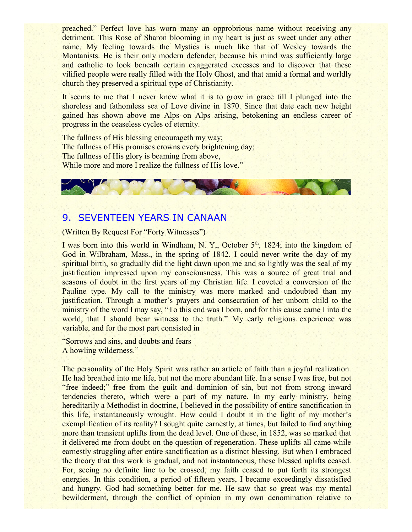preached." Perfect love has worn many an opprobrious name without receiving any detriment. This Rose of Sharon blooming in my heart is just as sweet under any other name. My feeling towards the Mystics is much like that of Wesley towards the Montanists. He is their only modern defender, because his mind was sufficiently large and catholic to look beneath certain exaggerated excesses and to discover that these vilified people were really filled with the Holy Ghost, and that amid a formal and worldly church they preserved a spiritual type of Christianity.

It seems to me that I never knew what it is to grow in grace till I plunged into the shoreless and fathomless sea of Love divine in 1870. Since that date each new height gained has shown above me Alps on Alps arising, betokening an endless career of progress in the ceaseless cycles of eternity.

The fullness of His blessing encourageth my way; The fullness of His promises crowns every brightening day; The fullness of His glory is beaming from above. While more and more I realize the fullness of His love."



### 9. SEVENTEEN YEARS IN CANAAN

(Written By Request For "Forty Witnesses")

I was born into this world in Windham, N. Y., October  $5<sup>th</sup>$ , 1824; into the kingdom of God in Wilbraham, Mass., in the spring of 1842. I could never write the day of my spiritual birth, so gradually did the light dawn upon me and so lightly was the seal of my justification impressed upon my consciousness. This was a source of great trial and seasons of doubt in the first years of my Christian life. I coveted a conversion of the Pauline type. My call to the ministry was more marked and undoubted than my justification. Through a mother's prayers and consecration of her unborn child to the ministry of the word I may say, "To this end was I born, and for this cause came I into the world, that I should bear witness to the truth." My early religious experience was variable, and for the most part consisted in

"Sorrows and sins, and doubts and fears A howling wilderness."

The personality of the Holy Spirit was rather an article of faith than a joyful realization. He had breathed into me life, but not the more abundant life. In a sense I was free, but not "free indeed;" free from the guilt and dominion of sin, but not from strong inward tendencies thereto, which were a part of my nature. In my early ministry, being hereditarily a Methodist in doctrine, I believed in the possibility of entire sanctification in this life, instantaneously wrought. How could I doubt it in the light of my mother's exemplification of its reality? I sought quite earnestly, at times, but failed to find anything more than transient uplifts from the dead level. One of these, in 1852, was so marked that it delivered me from doubt on the question of regeneration. These uplifts all came while earnestly struggling after entire sanctification as a distinct blessing. But when I embraced the theory that this work is gradual, and not instantaneous, these blessed uplifts ceased. For, seeing no definite line to be crossed, my faith ceased to put forth its strongest energies. In this condition, a period of fifteen years, I became exceedingly dissatisfied and hungry. God had something better for me. He saw that so great was my mental bewilderment, through the conflict of opinion in my own denomination relative to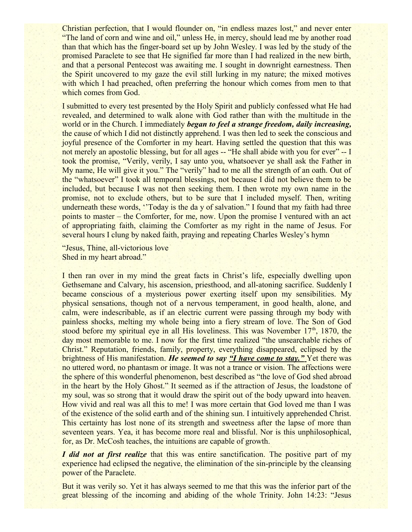Christian perfection, that I would flounder on, "in endless mazes lost," and never enter "The land of corn and wine and oil," unless He, in mercy, should lead me by another road than that which has the finger-board set up by John Wesley. I was led by the study of the promised Paraclete to see that He signified far more than I had realized in the new birth, and that a personal Pentecost was awaiting me. I sought in downright earnestness. Then the Spirit uncovered to my gaze the evil still lurking in my nature; the mixed motives with which I had preached, often preferring the honour which comes from men to that which comes from God.

I submitted to every test presented by the Holy Spirit and publicly confessed what He had revealed, and determined to walk alone with God rather than with the multitude in the world or in the Church. I immediately *began to feel a strange freedom, daily increasing,* the cause of which I did not distinctly apprehend. I was then led to seek the conscious and joyful presence of the Comforter in my heart. Having settled the question that this was not merely an apostolic blessing, but for all ages -- "He shall abide with you for ever" -- I took the promise, "Verily, verily, I say unto you, whatsoever ye shall ask the Father in My name, He will give it you." The "verily" had to me all the strength of an oath. Out of the "whatsoever" I took all temporal blessings, not because I did not believe them to be included, but because I was not then seeking them. I then wrote my own name in the promise, not to exclude others, but to be sure that I included myself. Then, writing underneath these words, "Today is the day of salvation." I found that my faith had three points to master – the Comforter, for me, now. Upon the promise I ventured with an act of appropriating faith, claiming the Comforter as my right in the name of Jesus. For several hours I clung by naked faith, praying and repeating Charles Wesley's hymn

"Jesus, Thine, all-victorious love Shed in my heart abroad."

I then ran over in my mind the great facts in Christ's life, especially dwelling upon Gethsemane and Calvary, his ascension, priesthood, and all-atoning sacrifice. Suddenly I became conscious of a mysterious power exerting itself upon my sensibilities. My physical sensations, though not of a nervous temperament, in good health, alone, and calm, were indescribable, as if an electric current were passing through my body with painless shocks, melting my whole being into a fiery stream of love. The Son of God stood before my spiritual eye in all His loveliness. This was November  $17<sup>th</sup>$ , 1870, the day most memorable to me. I now for the first time realized "the unsearchable riches of Christ." Reputation, friends, family, property, everything disappeared, eclipsed by the brightness of His manifestation. *He seemed to say "I have come to stay."* Yet there was no uttered word, no phantasm or image. It was not a trance or vision. The affections were the sphere of this wonderful phenomenon, best described as "the love of God shed abroad in the heart by the Holy Ghost." It seemed as if the attraction of Jesus, the loadstone of my soul, was so strong that it would draw the spirit out of the body upward into heaven. How vivid and real was all this to me! I was more certain that God loved me than I was of the existence of the solid earth and of the shining sun. I intuitively apprehended Christ. This certainty has lost none of its strength and sweetness after the lapse of more than seventeen years. Yea, it has become more real and blissful. Nor is this unphilosophical, for, as Dr. McCosh teaches, the intuitions are capable of growth.

*I did not at first realize* that this was entire sanctification. The positive part of my experience had eclipsed the negative, the elimination of the sin-principle by the cleansing power of the Paraclete.

But it was verily so. Yet it has always seemed to me that this was the inferior part of the great blessing of the incoming and abiding of the whole Trinity. John 14:23: "Jesus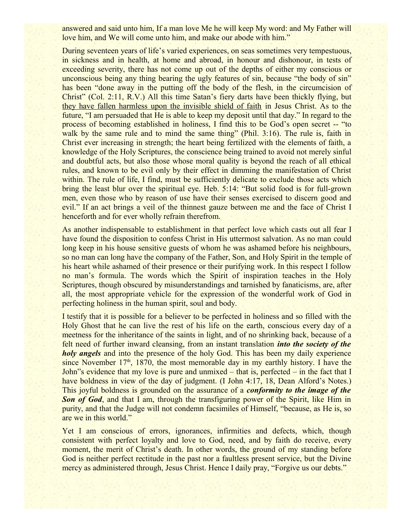answered and said unto him, If a man love Me he will keep My word: and My Father will love him, and We will come unto him, and make our abode with him."

During seventeen years of life's varied experiences, on seas sometimes very tempestuous, in sickness and in health, at home and abroad, in honour and dishonour, in tests of exceeding severity, there has not come up out of the depths of either my conscious or unconscious being any thing bearing the ugly features of sin, because "the body of sin" has been "done away in the putting off the body of the flesh, in the circumcision of Christ" (Col. 2:11, R.V.) All this time Satan's fiery darts have been thickly flying, but they have fallen harmless upon the invisible shield of faith in Jesus Christ. As to the future, "I am persuaded that He is able to keep my deposit until that day." In regard to the process of becoming established in holiness, I find this to be God's open secret -- "to walk by the same rule and to mind the same thing" (Phil. 3:16). The rule is, faith in Christ ever increasing in strength; the heart being fertilized with the elements of faith, a knowledge of the Holy Scriptures, the conscience being trained to avoid not merely sinful and doubtful acts, but also those whose moral quality is beyond the reach of all ethical rules, and known to be evil only by their effect in dimming the manifestation of Christ within. The rule of life, I find, must be sufficiently delicate to exclude those acts which bring the least blur over the spiritual eye. Heb. 5:14: "But solid food is for full-grown men, even those who by reason of use have their senses exercised to discern good and evil." If an act brings a veil of the thinnest gauze between me and the face of Christ I henceforth and for ever wholly refrain therefrom.

As another indispensable to establishment in that perfect love which casts out all fear I have found the disposition to confess Christ in His uttermost salvation. As no man could long keep in his house sensitive guests of whom he was ashamed before his neighbours, so no man can long have the company of the Father, Son, and Holy Spirit in the temple of his heart while ashamed of their presence or their purifying work. In this respect I follow no man's formula. The words which the Spirit of inspiration teaches in the Holy Scriptures, though obscured by misunderstandings and tarnished by fanaticisms, are, after all, the most appropriate vehicle for the expression of the wonderful work of God in perfecting holiness in the human spirit, soul and body.

I testify that it is possible for a believer to be perfected in holiness and so filled with the Holy Ghost that he can live the rest of his life on the earth, conscious every day of a meetness for the inheritance of the saints in light, and of no shrinking back, because of a felt need of further inward cleansing, from an instant translation *into the society of the holy angels* and into the presence of the holy God. This has been my daily experience since November  $17<sup>th</sup>$ , 1870, the most memorable day in my earthly history. I have the John"s evidence that my love is pure and unmixed – that is, perfected – in the fact that I have boldness in view of the day of judgment. (I John 4:17, 18, Dean Alford's Notes.) This joyful boldness is grounded on the assurance of a *conformity to the image of the* **Son of God**, and that I am, through the transfiguring power of the Spirit, like Him in purity, and that the Judge will not condemn facsimiles of Himself, "because, as He is, so are we in this world."

Yet I am conscious of errors, ignorances, infirmities and defects, which, though consistent with perfect loyalty and love to God, need, and by faith do receive, every moment, the merit of Christ's death. In other words, the ground of my standing before God is neither perfect rectitude in the past nor a faultless present service, but the Divine mercy as administered through, Jesus Christ. Hence I daily pray, "Forgive us our debts."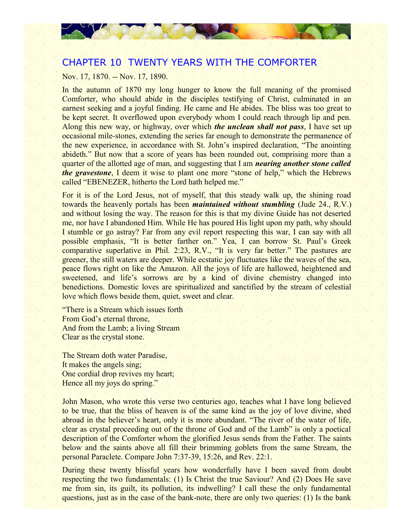

# CHAPTER 10 TWENTY YEARS WITH THE COMFORTER

Nov. 17, 1870. -- Nov. 17, 1890.

In the autumn of 1870 my long hunger to know the full meaning of the promised Comforter, who should abide in the disciples testifying of Christ, culminated in an earnest seeking and a joyful finding. He came and He abides. The bliss was too great to be kept secret. It overflowed upon everybody whom I could reach through lip and pen. Along this new way, or highway, over which *the unclean shall not pass*, I have set up occasional mile-stones, extending the series far enough to demonstrate the permanence of the new experience, in accordance with St. John's inspired declaration, "The anointing abideth." But now that a score of years has been rounded out, comprising more than a quarter of the allotted age of man, and suggesting that I am *nearing another stone called the gravestone*, I deem it wise to plant one more "stone of help," which the Hebrews called "EBENEZER, hitherto the Lord hath helped me."

For it is of the Lord Jesus, not of myself, that this steady walk up, the shining road towards the heavenly portals has been *maintained without stumbling* (Jude 24., R.V.) and without losing the way. The reason for this is that my divine Guide has not deserted me, nor have I abandoned Him. While He has poured His light upon my path, why should I stumble or go astray? Far from any evil report respecting this war, I can say with all possible emphasis, "It is better farther on." Yea, I can borrow St. Paul's Greek comparative superlative in Phil. 2:23, R.V., "It is very far better." The pastures are greener, the still waters are deeper. While ecstatic joy fluctuates like the waves of the sea, peace flows right on like the Amazon. All the joys of life are hallowed, heightened and sweetened, and life's sorrows are by a kind of divine chemistry changed into benedictions. Domestic loves are spiritualized and sanctified by the stream of celestial love which flows beside them, quiet, sweet and clear.

"There is a Stream which issues forth From God's eternal throne, And from the Lamb; a living Stream Clear as the crystal stone.

The Stream doth water Paradise, It makes the angels sing; One cordial drop revives my heart; Hence all my joys do spring."

John Mason, who wrote this verse two centuries ago, teaches what I have long believed to be true, that the bliss of heaven is of the same kind as the joy of love divine, shed abroad in the believer's heart, only it is more abundant. "The river of the water of life, clear as crystal proceeding out of the throne of God and of the Lamb" is only a poetical description of the Comforter whom the glorified Jesus sends from the Father. The saints below and the saints above all fill their brimming goblets from the same Stream, the personal Paraclete. Compare John 7:37-39, 15:26, and Rev. 22:1.

During these twenty blissful years how wonderfully have I been saved from doubt respecting the two fundamentals: (1) Is Christ the true Saviour? And (2) Does He save me from sin, its guilt, its pollution, its indwelling? I call these the only fundamental questions, just as in the case of the bank-note, there are only two queries: (1) Is the bank